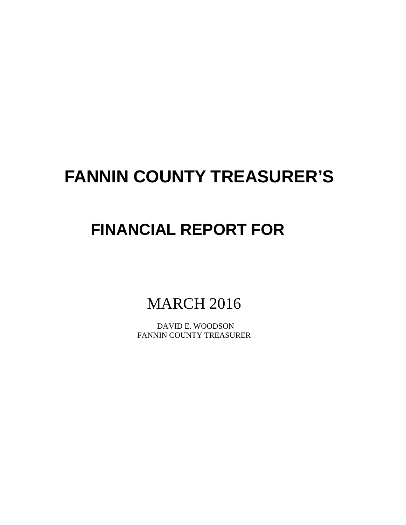# **FANNIN COUNTY TREASURER'S**

# **FINANCIAL REPORT FOR**

MARCH 2016

 DAVID E. WOODSON FANNIN COUNTY TREASURER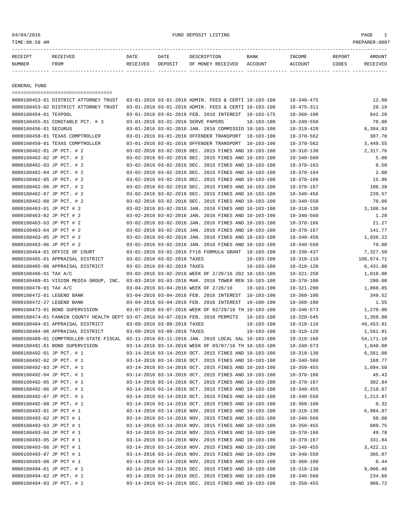# 04/04/2016 FUND DEPOSIT LISTING PAGE 1

| RECEIPT | <b>RECEIVED</b> | DATE            | DATE    | DESCRIPTION       | <b>BANK</b> | <b>TNCOME</b> | REPORT | AMOUNT          |
|---------|-----------------|-----------------|---------|-------------------|-------------|---------------|--------|-----------------|
| NUMBER  | FROM            | <b>RECEIVED</b> | DEPOSIT | OF MONEY RECEIVED | ACCOUNT     | ACCOUNT       | CODES  | <b>RECEIVED</b> |
|         |                 |                 |         |                   |             |               |        |                 |

GENERAL FUND

| =====================================                                           |                             |                                                      |                  |                                      |             |
|---------------------------------------------------------------------------------|-----------------------------|------------------------------------------------------|------------------|--------------------------------------|-------------|
| 0000160453-01 DISTRICT ATTORNEY TRUST                                           |                             | 03-01-2016 03-01-2016 ADMIN. FEES & CERTI 10-103-100 |                  | $10 - 340 - 475$                     | 12.00       |
| 0000160453-02 DISTRICT ATTORNEY TRUST                                           |                             | 03-01-2016 03-01-2016 ADMIN. FEES & CERTI 10-103-100 |                  | $10 - 475 - 311$                     | 20.19       |
| 0000160454-01 TEXPOOL                                                           |                             | 03-01-2016 03-01-2016 FEB. 2016 INTEREST 10-103-175  |                  | $10 - 360 - 100$                     | 842.20      |
| 0000160455-01 CONSTABLE PCT. # 3                                                |                             | 03-01-2016 03-01-2016 SERVE PAPERS                   | $10 - 103 - 100$ | $10 - 340 - 550$                     | 70.00       |
| 0000160456-01 SECURUS                                                           |                             | 03-01-2016 03-01-2016 JAN. 2016 COMMISSIO 10-103-100 |                  | $10 - 319 - 420$                     | 8,394.83    |
| 0000160458-01 TEXAS COMPTROLLER                                                 |                             | 03-01-2016 03-01-2016 OFFENDER TRANSPORT 10-103-100  |                  | $10 - 370 - 562$                     | 307.70      |
| 0000160459-01 TEXAS COMPTROLLER                                                 |                             | 03-01-2016 03-01-2016 OFFENDER TRANSPORT 10-103-100  |                  | $10 - 370 - 562$                     | 3,449.55    |
| 0000160462-01 JP PCT. # 2                                                       |                             | 03-02-2016 03-02-2016 DEC. 2015 FINES AND 10-103-100 |                  | $10 - 318 - 130$                     | 2,317.76    |
| 0000160462-02 JP PCT. # 2                                                       |                             | 03-02-2016 03-02-2016 DEC. 2015 FINES AND 10-103-100 |                  | $10 - 340 - 560$                     | 5.00        |
| 0000160462-03 JP PCT. # 2                                                       |                             | 03-02-2016 03-02-2016 DEC. 2015 FINES AND 10-103-100 |                  | $10 - 370 - 163$                     | 0.50        |
| 0000160462-04 JP PCT. # 2                                                       |                             | 03-02-2016 03-02-2016 DEC. 2015 FINES AND 10-103-100 |                  | $10 - 370 - 164$                     | 2.00        |
| 0000160462-05 JP PCT. # 2                                                       |                             | 03-02-2016 03-02-2016 DEC. 2015 FINES AND 10-103-100 |                  | $10 - 370 - 166$                     | 15.96       |
| 0000160462-06 JP PCT. # 2                                                       |                             | 03-02-2016 03-02-2016 DEC. 2015 FINES AND 10-103-100 |                  | $10 - 370 - 167$                     | 106.38      |
| 0000160462-07 JP PCT. # 2                                                       |                             | 03-02-2016 03-02-2016 DEC. 2015 FINES AND 10-103-100 |                  | $10 - 340 - 456$                     | 239.57      |
| 0000160462-08 JP PCT. # 2                                                       |                             | 03-02-2016 03-02-2016 DEC. 2015 FINES AND 10-103-100 |                  | $10 - 340 - 550$                     | 70.00       |
| 0000160463-01 JP PCT # 2                                                        |                             | 03-02-2016 03-02-2016 JAN. 2016 FINES AND 10-103-100 |                  | $10 - 318 - 130$                     | 3,108.54    |
| 0000160463-02 JP PCT # 2                                                        |                             | 03-02-2016 03-02-2016 JAN. 2016 FINES AND 10-103-100 |                  | $10 - 340 - 560$                     | 1.28        |
| 0000160463-03 JP PCT # 2                                                        |                             | 03-02-2016 03-02-2016 JAN. 2016 FINES AND 10-103-100 |                  | $10 - 370 - 166$                     | 21.27       |
| 0000160463-04 JP PCT # 2                                                        |                             |                                                      |                  | $10 - 370 - 167$                     | 141.77      |
|                                                                                 |                             | 03-02-2016 03-02-2016 JAN. 2016 FINES AND 10-103-100 |                  |                                      |             |
| 0000160463-05 JP PCT # 2                                                        |                             | 03-02-2016 03-02-2016 JAN. 2016 FINES AND 10-103-100 |                  | $10 - 340 - 456$                     | 1,036.22    |
| 0000160463-06 JP PCT # 2                                                        |                             | 03-02-2016 03-02-2016 JAN. 2016 FINES AND 10-103-100 |                  | $10 - 340 - 550$                     | 70.00       |
| 0000160464-01 OFFICE OF COURT                                                   |                             | 03-02-2016 03-02-2016 FY16 FORMULA GRANT 10-103-100  |                  | $10 - 330 - 437$                     | 7,327.50    |
| 0000160465-01 APPRAISAL DISTRICT                                                | 03-02-2016 03-02-2016 TAXES |                                                      | $10 - 103 - 100$ | $10 - 310 - 110$                     | 108,674.71  |
| 0000160465-06 APPRAISAL DISTRICT                                                | 03-02-2016 03-02-2016 TAXES |                                                      | $10 - 103 - 100$ | $10 - 310 - 120$                     | 6,431.80    |
| 0000160466-01 TAX A/C                                                           |                             | 03-02-2016 03-02-2016 WEEK OF 2/26/16 202 10-103-100 |                  | $10 - 321 - 250$                     | 1,010.00    |
| 0000160469-01 VISION MEDIA GROUP, INC.                                          |                             | 03-03-2016 03-03-2016 MAR. 2016 TOWER REN 10-103-100 |                  | $10 - 370 - 100$                     | 200.00      |
| 0000160470-01 TAX A/C                                                           |                             | 03-04-2016 03-04-2016 WEEK OF 2/26/16                | 10-103-100       | $10 - 321 - 200$                     | 1,860.85    |
| 0000160472-01 LEGEND BANK                                                       |                             | 03-04-2016 03-04-2016 FEB. 2016 INTEREST 10-103-100  |                  | $10 - 360 - 100$                     | 349.52      |
| 0000160472-27 LEGEND BANK                                                       |                             | 03-04-2016 03-04-2016 FEB. 2016 INTEREST 10-100-100  |                  | $10 - 360 - 100$                     | 1.55        |
| 0000160473-01 BOND SUPERVISION                                                  |                             | 03-07-2016 03-07-2016 WEEK OF 02/29/16 TH 10-103-100 |                  | $10 - 340 - 573$                     | 1,270.00    |
| 0000160474-01 FANNIN COUNTY HEALTH DEPT 03-07-2016 03-07-2016 FEB. 2016 PERMITS |                             |                                                      | $10 - 103 - 100$ | $10 - 320 - 545$                     | 1,350.00    |
| 0000160484-01 APPRAISAL DISTRICT                                                | 03-09-2016 03-09-2016 TAXES |                                                      | $10 - 103 - 100$ | $10 - 310 - 110$                     | 49,453.01   |
| 0000160484-06 APPRAISAL DISTRICT                                                | 03-09-2016 03-09-2016 TAXES |                                                      | $10 - 103 - 100$ | $10 - 310 - 120$                     | 1,561.01    |
| 0000160489-01 COMPTROLLER-STATE FISCAL                                          |                             | 03-11-2016 03-11-2016 JAN. 2016 LOCAL SAL 10-103-100 |                  | $10 - 318 - 160$                     | 54, 171. 10 |
| 0000160491-01 BOND SUPERVISION                                                  |                             | 03-14-2016 03-14-2016 WEEK OF 03/07/16 TH 10-103-100 |                  | $10 - 340 - 573$                     | 1,040.00    |
| 0000160492-01 JP PCT. # 1                                                       |                             | 03-14-2016 03-14-2016 OCT. 2015 FINES AND 10-103-100 |                  | $10 - 318 - 130$                     | 6,561.08    |
| 0000160492-02 JP PCT. # 1                                                       |                             | 03-14-2016 03-14-2016 OCT. 2015 FINES AND 10-103-100 |                  | $10 - 340 - 560$                     | 168.77      |
| 0000160492-03 JP PCT. # 1                                                       |                             | 03-14-2016 03-14-2016 OCT. 2015 FINES AND 10-103-100 |                  | $10 - 350 - 455$                     | 1,094.50    |
| 0000160492-04 JP PCT. # 1                                                       |                             | 03-14-2016 03-14-2016 OCT. 2015 FINES AND 10-103-100 |                  | $10 - 370 - 166$                     | 45.43       |
| 0000160492-05 JP PCT. # 1                                                       |                             | 03-14-2016 03-14-2016 OCT. 2015 FINES AND 10-103-100 |                  | $10 - 370 - 167$                     | 302.84      |
| 0000160492-06 JP PCT. # 1                                                       |                             | 03-14-2016 03-14-2016 OCT. 2015 FINES AND 10-103-100 |                  | $10 - 340 - 455$                     | 2,210.67    |
| 0000160492-07 JP PCT. # 1                                                       |                             | 03-14-2016 03-14-2016 OCT. 2015 FINES AND 10-103-100 |                  | $10 - 340 - 550$                     | 1,213.87    |
| 0000160492-08 JP PCT. # 1                                                       |                             | 03-14-2016 03-14-2016 OCT. 2015 FINES AND 10-103-100 |                  | $10 - 360 - 100$                     | 0.32        |
| 0000160493-01 JP PCT # 1                                                        |                             | 03-14-2016 03-14-2016 NOV. 2015 FINES AND 10-103-100 |                  | $10 - 318 - 130$                     | 6,984.87    |
| 0000160493-02 JP PCT # 1                                                        |                             | 03-14-2016 03-14-2016 NOV. 2015 FINES AND 10-103-100 |                  | $10 - 340 - 560$                     | 50.68       |
| 0000160493-03 JP PCT # 1                                                        |                             | 03-14-2016 03-14-2016 NOV. 2015 FINES AND 10-103-100 |                  | $10 - 350 - 455$                     | 889.75      |
| 0000160493-04 JP PCT # 1                                                        |                             | 03-14-2016 03-14-2016 NOV. 2015 FINES AND 10-103-100 |                  | $10 - 370 - 166$                     | 49.78       |
| 0000160493-05 JP PCT # 1                                                        |                             | 03-14-2016 03-14-2016 NOV. 2015 FINES AND 10-103-100 |                  |                                      |             |
| 0000160493-06 JP PCT # 1                                                        |                             | 03-14-2016 03-14-2016 NOV. 2015 FINES AND 10-103-100 |                  | $10 - 370 - 167$<br>$10 - 340 - 455$ | 331.84      |
| 0000160493-07 JP PCT # 1                                                        |                             | 03-14-2016 03-14-2016 NOV. 2015 FINES AND 10-103-100 |                  |                                      | 3,422.11    |
|                                                                                 |                             |                                                      |                  | $10 - 340 - 550$                     | 305.87      |
| 0000160493-08 JP PCT # 1                                                        |                             | 03-14-2016 03-14-2016 NOV. 2015 FINES AND 10-103-100 |                  | $10 - 360 - 100$                     | 0.44        |
| 0000160494-01 JP PCT. # 1                                                       |                             | 03-14-2016 03-14-2016 DEC. 2015 FINES AND 10-103-100 |                  | $10 - 318 - 130$                     | 9,006.40    |
| 0000160494-02 JP PCT. # 1                                                       |                             | 03-14-2016 03-14-2016 DEC. 2015 FINES AND 10-103-100 |                  | $10 - 340 - 560$                     | 234.66      |
| 0000160494-03 JP PCT. # 1                                                       |                             | 03-14-2016 03-14-2016 DEC. 2015 FINES AND 10-103-100 |                  | $10 - 350 - 455$                     | 906.72      |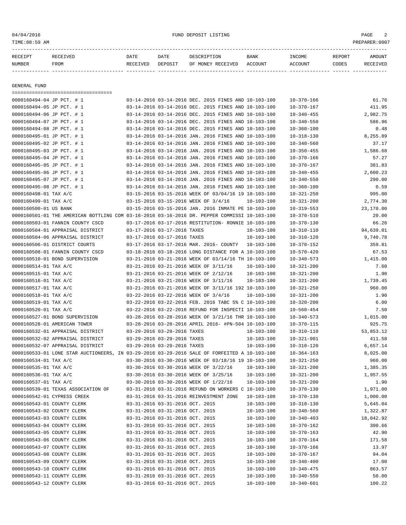| RECEIPT       | <b>RECEIVED</b> | DATE     | DATE    | DESCRIPTION       | BANK    | INCOME         | REPORT | AMOUNT          |
|---------------|-----------------|----------|---------|-------------------|---------|----------------|--------|-----------------|
| <b>NUMBER</b> | FROM            | RECEIVED | DEPOSIT | OF MONEY RECEIVED | ACCOUNT | <b>ACCOUNT</b> | CODES  | <b>RECEIVED</b> |
|               |                 |          |         |                   |         |                |        |                 |

GENERAL FUND

------------- ------------------------- ---------- ---------- ------------------- -------------- -------------- ------ ------------ =================================== 0000160494-04 JP PCT. # 1 03-14-2016 03-14-2016 DEC. 2015 FINES AND 10-103-100 10-370-166 61.76 0000160494-05 JP PCT. # 1 03-14-2016 03-14-2016 DEC. 2015 FINES AND 10-103-100 10-370-167 411.95 0000160494-06 JP PCT. # 1 03-14-2016 03-14-2016 DEC. 2015 FINES AND 10-103-100 10-340-455 2,982.75 0000160494-07 JP PCT. # 1 03-14-2016 03-14-2016 DEC. 2015 FINES AND 10-103-100 10-340-550 586.96 0000160494-08 JP PCT. # 1 03-14-2016 03-14-2016 DEC. 2015 FINES AND 10-103-100 10-360-100 0.48 0000160495-01 JP PCT. # 1 03-14-2016 03-14-2016 JAN. 2016 FINES AND 10-103-100 10-318-130 8,255.89 0000160495-02 JP PCT. # 1 03-14-2016 03-14-2016 JAN. 2016 FINES AND 10-103-100 10-340-560 37.17 0000160495-03 JP PCT. # 1 03-14-2016 03-14-2016 JAN. 2016 FINES AND 10-103-100 10-350-455 1,586.68 0000160495-04 JP PCT. # 1 03-14-2016 03-14-2016 JAN. 2016 FINES AND 10-103-100 10-370-166 57.27 0000160495-05 JP PCT. # 1 03-14-2016 03-14-2016 JAN. 2016 FINES AND 10-103-100 10-370-167 381.83 0000160495-06 JP PCT. # 1 03-14-2016 03-14-2016 JAN. 2016 FINES AND 10-103-100 10-340-455 2,600.23 0000160495-07 JP PCT. # 1 03-14-2016 03-14-2016 JAN. 2016 FINES AND 10-103-100 10-340-550 290.00 0000160495-08 JP PCT. # 1 03-14-2016 03-14-2016 JAN. 2016 FINES AND 10-103-100 10-360-100 0.59 0000160498-01 TAX A/C 03-15-2016 03-15-2016 03-15-2016 WEEK OF 03/04/16 19 10-103-100 10-321-250 995.00 0000160499-01 TAX A/C 03-15-2016 03-15-2016 WEEK OF 3/4/16 10-103-100 10-321-200 2,774.30 0000160500-01 US BANK 03-15-2016 03-15-2016 JAN. 2016 INMATE PE 10-103-100 10-319-553 23,170.00 0000160501-01 THE AMERICAN BOTTLING COM 03-16-2016 03-16-2016 DR. PEPPER COMMISSI 10-103-100 10-370-510 20.00 0000160503-01 FANNIN COUNTY CSCD 03-17-2016 03-17-2016 RESTITUTION- RONNIE 10-103-100 10-370-130 66.26 0000160504-01 APPRAISAL DISTRICT 03-17-2016 03-17-2016 TAXES 10-103-100 10-310-110 94,639.01 0000160504-06 APPRAISAL DISTRICT 03-17-2016 03-17-2016 TAXES 10-103-100 10-310-120 9,740.78 0000160506-01 DISTRICT COURTS 03-17-2016 03-17-2016 MAR. 2016- COUNTY 10-103-100 10-370-152 359.81 0000160508-01 FANNIN COUNTY CSCD 03-18-2016 03-18-2016 LONG DISTANCE FOR A 10-103-100 10-570-420 67.53 0000160510-01 BOND SUPERVISION 03-21-2016 03-21-2016 WEEK OF 03/14/16 TH 10-103-100 10-340-573 1,415.00 0000160514-01 TAX A/C 03-21-2016 03-21-2016 03-21-2016 WEEK OF 3/11/16 10-103-100 10-321-200 7.60 0000160515-01 TAX A/C 03-21-2016 03-21-2016 03-21-2016 WEEK OF 2/12/16 10-103-100 10-321-200 1.90 0000160516-01 TAX A/C 03-21-2016 03-21-2016 03-21-2016 WEEK OF 3/11/16 10-103-100 10-321-200 1,739.45 0000160517-01 TAX A/C 03-21-2016 03-21-2016 03-21-2016 WEEK OF 3/11/16 192 10-103-100 10-321-250 960.00 0000160518-01 TAX A/C 03-22-2016 03-22-2016 03-22-2016 WEEK OF  $3/4/16$  10-103-100 10-321-200 1.90 0000160519-01 TAX A/C 03-22-2016 03-22-2016 FEB. 2016 TABC 5% C 10-103-100 10-320-200 6.00 0000160520-01 TAX A/C 03-22-2016 03-22-2016 REFUND FOR INSPECTI 10-103-100 10-560-454 7.50 0000160527-01 BOND SUPERVISION 03-28-2016 03-28-2016 WEEK OF 3/21/16 THR 10-103-100 10-340-573 1,015.00 0000160528-01 AMERICAN TOWER 03-28-2016 03-28-2016 APRIL 2016- #PN-504 10-103-100 10-370-115 925.75 0000160532-01 APPRAISAL DISTRICT 03-29-2016 03-29-2016 TAXES 10-103-100 10-310-110 53,853.12 0000160532-02 APPRAISAL DISTRICT 03-29-2016 03-29-2016 TAXES 10-103-100 10-321-901 411.58 0000160532-07 APPRAISAL DISTRICT  $03-29-2016$  03-29-2016 TAXES  $10-103-100$   $10-310-120$  6,657.14 0000160533-01 LONE STAR AUCTIONEERS, IN 03-29-2016 03-29-2016 SALE OF FORFEITED A 10-103-100 10-364-163 8,025.00 0000160534-01 TAX A/C 03-30-2016 03-30-2016 WEEK OF 03/18/16 19 10-103-100 10-321-250 960.00 0000160535-01 TAX A/C 03-30-2016 03-30-2016 WEEK OF 3/22/16 10-103-100 10-321-200 1,385.35 0000160536-01 TAX A/C 03-30-2016 03-30-2016 WEEK OF 3/25/16 10-103-100 10-321-200 1,957.55 0000160537-01 TAX A/C 03-30-2016 03-30-2016 03-30-2016 WEEK OF 1/22/16 10-103-100 10-321-200 1.90 0000160539-01 TEXAS ASSOCIATION OF 03-31-2016 03-31-2016 REFUND ON WORKERS C 10-103-100 10-370-130 1,971.00 0000160542-01 CYPRESS CREEK 03-31-2016 03-31-2016 REINVESTMENT ZONE 10-103-100 10-370-130 1,000.00 0000160543-01 COUNTY CLERK 03-31-2016 03-31-2016 OCT. 2015 10-103-100 10-318-130 5.645.04 0000160543-02 COUNTY CLERK 03-31-2016 03-31-2016 OCT. 2015 10-103-100 10-340-560 1,322.87 0000160543-03 COUNTY CLERK 03-31-2016 03-31-2016 OCT. 2015 10-103-100 10-340-403 18.042.92 0000160543-04 COUNTY CLERK 03-31-2016 03-31-2016 OCT. 2015 10-103-100 10-370-162 300.66 0000160543-05 COUNTY CLERK 03-31-2016 03-31-2016 OCT. 2015 10-103-100 10-370-163 42.90

0000160543-06 COUNTY CLERK 03-31-2016 03-31-2016 OCT. 2015 10-103-100 10-370-164 171.58 0000160543-07 COUNTY CLERK 03-31-2016 03-31-2016 OCT. 2015 10-103-100 10-370-166 13.97 0000160543-08 COUNTY CLERK 03-31-2016 03-31-2016 OCT. 2015 10-103-100 10-370-167 94.04 0000160543-09 COUNTY CLERK 03-31-2016 03-31-2016 OCT. 2015 10-103-100 10-340-400 10-340-400 0000160543-10 COUNTY CLERK 03-31-2016 03-31-2016 OCT. 2015 10-103-100 10-340-475 863.57 0000160543-11 COUNTY CLERK 03-31-2016 03-31-2016 OCT. 2015 10-103-100 10-340-550 50.00 0000160543-12 COUNTY CLERK 03-31-2016 03-31-2016 OCT. 2015 10-103-100 10-340-601 10-340-601 100.22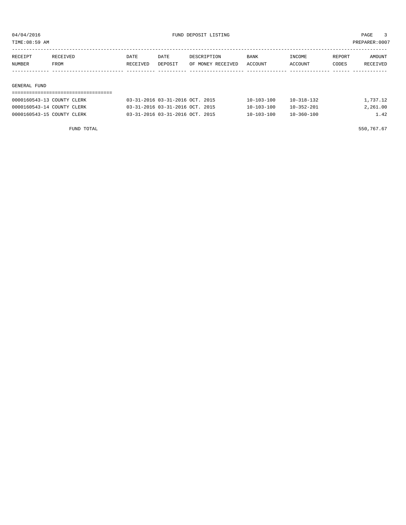TIME:08:59 AM PREPARER:0007

| RECEIPT            | RECEIVED | DATE     | DATE    | DESCRIPTION       | <b>BANK</b> | INCOME  | REPORT | AMOUNT   |
|--------------------|----------|----------|---------|-------------------|-------------|---------|--------|----------|
| NUMBER             | FROM     | RECEIVED | DEPOSIT | OF MONEY RECEIVED | ACCOUNT     | ACCOUNT | CODES  | RECEIVED |
|                    |          |          |         |                   |             |         |        |          |
|                    |          |          |         |                   |             |         |        |          |
| ATIITRIATI TITRITR |          |          |         |                   |             |         |        |          |

#### GENERAL FUND

| 0000160543-13 COUNTY CLERK | 03-31-2016 03-31-2016 OCT. 2015        | 10-103-100       | $10 - 318 - 132$ | 1,737.12 |
|----------------------------|----------------------------------------|------------------|------------------|----------|
| 0000160543-14 COUNTY CLERK | 03-31-2016 03-31-2016 OCT. 2015        | $10 - 103 - 100$ | $10 - 352 - 201$ | 2,261.00 |
| 0000160543-15 COUNTY CLERK | $03-31-2016$ $03-31-2016$ $0CT$ . 2015 | $10 - 103 - 100$ | $10 - 360 - 100$ | 1.42     |

FUND TOTAL  $550,767.67$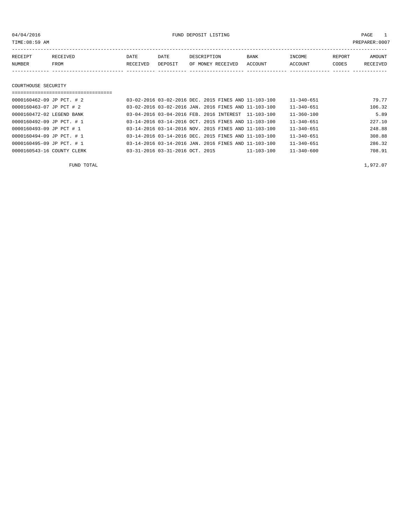04/04/2016 FUND DEPOSIT LISTING PAGE 1

| RECEIPT | <b>RECEIVED</b> | DATE     | DATE    | DESCRIPTION       | <b>BANK</b> | <b>TNCOME</b>  | REPORT | AMOUNT   |
|---------|-----------------|----------|---------|-------------------|-------------|----------------|--------|----------|
| NUMBER  | <b>FROM</b>     | RECEIVED | DEPOSIT | OF MONEY RECEIVED | ACCOUNT     | <b>ACCOUNT</b> | CODES  | RECEIVED |
|         |                 |          |         |                   |             |                |        |          |

#### COURTHOUSE SECURITY

| 0000160462-09 JP PCT. # 2  |                                 | 03-02-2016 03-02-2016 DEC. 2015 FINES AND 11-103-100 |            | $11 - 340 - 651$ | 79.77  |
|----------------------------|---------------------------------|------------------------------------------------------|------------|------------------|--------|
| 0000160463-07 JP PCT # 2   |                                 | 03-02-2016 03-02-2016 JAN, 2016 FINES AND 11-103-100 |            | $11 - 340 - 651$ | 106.32 |
| 0000160472-02 LEGEND BANK  |                                 | 03-04-2016 03-04-2016 FEB. 2016 INTEREST 11-103-100  |            | $11 - 360 - 100$ | 5.89   |
| 0000160492-09 JP PCT. # 1  |                                 | 03-14-2016 03-14-2016 OCT. 2015 FINES AND 11-103-100 |            | $11 - 340 - 651$ | 227.10 |
| 0000160493-09 JP PCT # 1   |                                 | 03-14-2016 03-14-2016 NOV. 2015 FINES AND 11-103-100 |            | $11 - 340 - 651$ | 248.88 |
| 0000160494-09 JP PCT. # 1  |                                 | 03-14-2016 03-14-2016 DEC. 2015 FINES AND 11-103-100 |            | $11 - 340 - 651$ | 308.88 |
| 0000160495-09 JP PCT. # 1  |                                 | 03-14-2016 03-14-2016 JAN. 2016 FINES AND 11-103-100 |            | $11 - 340 - 651$ | 286.32 |
| 0000160543-16 COUNTY CLERK | 03-31-2016 03-31-2016 OCT. 2015 |                                                      | 11-103-100 | $11 - 340 - 600$ | 708.91 |

FUND TOTAL  $1,972.07$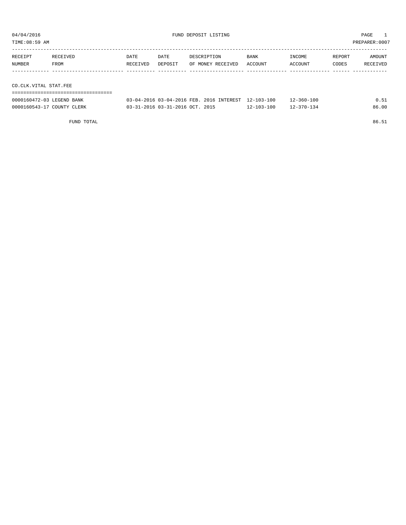| TIME:08:59 AM<br>PREPARER:0007 |          |          |         |                   |             |         |        |          |  |
|--------------------------------|----------|----------|---------|-------------------|-------------|---------|--------|----------|--|
| RECEIPT                        | RECEIVED | DATE     | DATE    | DESCRIPTION       | <b>BANK</b> | INCOME  | REPORT | AMOUNT   |  |
| NUMBER<br>FROM                 |          | RECEIVED | DEPOSIT | OF MONEY RECEIVED | ACCOUNT     | ACCOUNT | CODES  | RECEIVED |  |
|                                |          |          |         |                   |             |         |        |          |  |
| CO. CLK. VITAL STAT. FEE       |          |          |         |                   |             |         |        |          |  |
|                                |          |          |         |                   |             |         |        |          |  |

| 0000160472-03 LEGEND BANK  | 03-04-2016 03-04-2016 FEB. 2016 INTEREST 12-103-100 |                  | $12 - 360 - 100$ | 0.51  |
|----------------------------|-----------------------------------------------------|------------------|------------------|-------|
| 0000160543-17 COUNTY CLERK | 03-31-2016 03-31-2016 OCT. 2015                     | $12 - 103 - 100$ | $12 - 370 - 134$ | 86.00 |

FUND TOTAL 86.51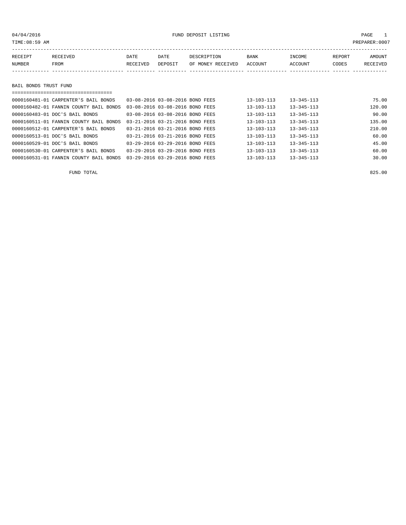| TIME: 08:59 AM        |                                      |          |                                 |                   |                  |                  |        | PREPARER:0007 |
|-----------------------|--------------------------------------|----------|---------------------------------|-------------------|------------------|------------------|--------|---------------|
|                       |                                      |          |                                 |                   |                  |                  |        |               |
| RECEIPT               | RECEIVED                             | DATE     | DATE                            | DESCRIPTION       | <b>BANK</b>      | INCOME           | REPORT | AMOUNT        |
| NUMBER                | FROM                                 | RECEIVED | DEPOSIT                         | OF MONEY RECEIVED | ACCOUNT          | ACCOUNT          | CODES  | RECEIVED      |
|                       |                                      |          |                                 |                   |                  |                  |        |               |
|                       |                                      |          |                                 |                   |                  |                  |        |               |
| BAIL BONDS TRUST FUND |                                      |          |                                 |                   |                  |                  |        |               |
|                       |                                      |          |                                 |                   |                  |                  |        |               |
|                       | 0000160481-01 CARPENTER'S BAIL BONDS |          | 03-08-2016 03-08-2016 BOND FEES |                   | $13 - 103 - 113$ | $13 - 345 - 113$ |        | 75.00         |
|                       |                                      |          |                                 |                   |                  |                  |        |               |

| 0000160482-01 FANNIN COUNTY BAIL BONDS 03-08-2016 03-08-2016 BOND FEES |                                 | $13 - 103 - 113$ | $13 - 345 - 113$ | 120.00 |
|------------------------------------------------------------------------|---------------------------------|------------------|------------------|--------|
| 0000160483-01 DOC'S BAIL BONDS                                         | 03-08-2016 03-08-2016 BOND FEES | $13 - 103 - 113$ | $13 - 345 - 113$ | 90.00  |
| 0000160511-01 FANNIN COUNTY BAIL BONDS                                 | 03-21-2016 03-21-2016 BOND FEES | $13 - 103 - 113$ | $13 - 345 - 113$ | 135.00 |
| 0000160512-01 CARPENTER'S BAIL BONDS                                   | 03-21-2016 03-21-2016 BOND FEES | $13 - 103 - 113$ | $13 - 345 - 113$ | 210.00 |
| 0000160513-01 DOC'S BAIL BONDS                                         | 03-21-2016 03-21-2016 BOND FEES | 13-103-113       | $13 - 345 - 113$ | 60.00  |
| 0000160529-01 DOC'S BAIL BONDS                                         | 03-29-2016 03-29-2016 BOND FEES | $13 - 103 - 113$ | $13 - 345 - 113$ | 45.00  |
| 0000160530-01 CARPENTER'S BAIL BONDS                                   | 03-29-2016 03-29-2016 BOND FEES | $13 - 103 - 113$ | $13 - 345 - 113$ | 60.00  |
| 0000160531-01 FANNIN COUNTY BAIL BONDS                                 | 03-29-2016 03-29-2016 BOND FEES | $13 - 103 - 113$ | $13 - 345 - 113$ | 30.00  |
|                                                                        |                                 |                  |                  |        |

FUND TOTAL 825.00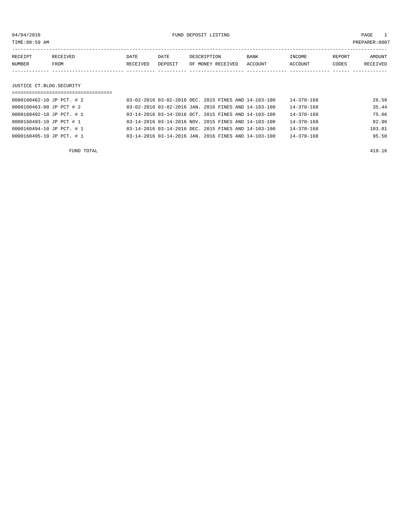04/04/2016 FUND DEPOSIT LISTING PAGE 1

| RECEIPT | RECEIVED | DATE     | DATE    | DESCRIPTION       | <b>BANK</b> | INCOME         | REPORT | AMOUNT   |
|---------|----------|----------|---------|-------------------|-------------|----------------|--------|----------|
| NUMBER  | FROM     | RECEIVED | DEPOSIT | OF MONEY RECEIVED | ACCOUNT     | <b>ACCOUNT</b> | CODES  | RECEIVED |
|         |          |          |         |                   |             |                |        |          |

# JUSTICE CT.BLDG.SECURITY

| =============================== |  |                                                      |                  |        |
|---------------------------------|--|------------------------------------------------------|------------------|--------|
| 0000160462-10 JP PCT. # 2       |  | 03-02-2016 03-02-2016 DEC. 2015 FINES AND 14-103-100 | 14-370-168       | 26.59  |
| 0000160463-08 JP PCT # 2        |  | 03-02-2016 03-02-2016 JAN. 2016 FINES AND 14-103-100 | $14 - 370 - 168$ | 35.44  |
| 0000160492-10 JP PCT. # 1       |  | 03-14-2016 03-14-2016 OCT, 2015 FINES AND 14-103-100 | 14-370-168       | 75.66  |
| 0000160493-10 JP PCT # 1        |  | 03-14-2016 03-14-2016 NOV, 2015 FINES AND 14-103-100 | $14 - 370 - 168$ | 82.96  |
| 0000160494-10 JP PCT. # 1       |  | 03-14-2016 03-14-2016 DEC. 2015 FINES AND 14-103-100 | 14-370-168       | 103.01 |
| 0000160495-10 JP PCT. # 1       |  | 03-14-2016 03-14-2016 JAN. 2016 FINES AND 14-103-100 | $14 - 370 - 168$ | 95.50  |
|                                 |  |                                                      |                  |        |

FUND TOTAL 419.16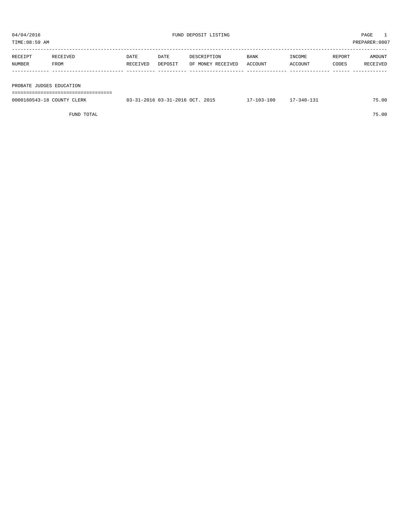| 04/04/2016               |          |          |         | FUND DEPOSIT LISTING |         |         |        | PAGE           |  |
|--------------------------|----------|----------|---------|----------------------|---------|---------|--------|----------------|--|
| TIME:08:59 AM            |          |          |         |                      |         |         |        | PREPARER: 0007 |  |
|                          |          |          |         |                      |         |         |        |                |  |
| RECEIPT                  | RECEIVED | DATE     | DATE    | DESCRIPTION          | BANK    | INCOME  | REPORT | AMOUNT         |  |
| NUMBER                   | FROM     | RECEIVED | DEPOSIT | OF MONEY RECEIVED    | ACCOUNT | ACCOUNT | CODES  | RECEIVED       |  |
|                          |          |          |         |                      |         |         |        |                |  |
|                          |          |          |         |                      |         |         |        |                |  |
| PROBATE JUDGES EDUCATION |          |          |         |                      |         |         |        |                |  |
|                          |          |          |         |                      |         |         |        |                |  |

| 0000160543-18 COUNTY CLERK | 03-31-2016 03-31-2016 OCT. 2015 | $17 - 103 - 100$ | 17-340-131 | 75.00 |
|----------------------------|---------------------------------|------------------|------------|-------|
|                            |                                 |                  |            |       |

FUND TOTAL 75.00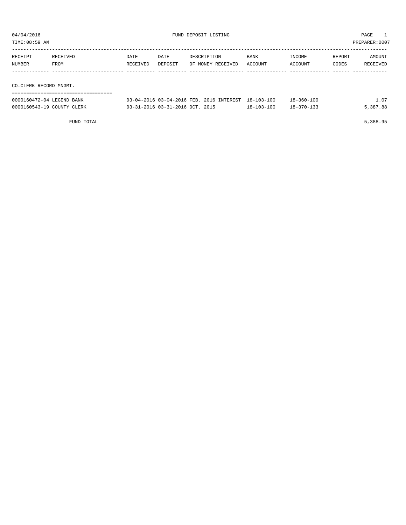${\rm FUND\ DEPOSIT\ LISTING} \qquad \qquad {\rm PAGE} \qquad \qquad {\rm PAGE} \qquad \qquad {\rm PAGE} \qquad \qquad {\rm PAGE} \qquad \qquad {\rm PAGE} \qquad \qquad {\rm PAGE} \qquad \qquad {\rm PAGE} \qquad \qquad {\rm PAGE} \qquad \qquad {\rm PAGE} \qquad \qquad {\rm PAGE} \qquad \qquad {\rm PAGE} \qquad \qquad {\rm PAGE} \qquad \qquad {\rm PAGE} \qquad \qquad {\rm PAGE} \qquad \qquad {\rm PAGE} \qquad \qquad {\rm PAGE} \qquad \qquad {\rm PAGE} \qquad \qquad {\rm PAGE} \qquad \qquad {\rm PAGE$ 

| TIME:08:59 AM             |          |          |         |                                                     |         |            |        | PREPARER: 0007 |
|---------------------------|----------|----------|---------|-----------------------------------------------------|---------|------------|--------|----------------|
| RECEIPT                   | RECEIVED | DATE     | DATE    | DESCRIPTION                                         | BANK    | INCOME     | REPORT | AMOUNT         |
| NUMBER                    | FROM     | RECEIVED | DEPOSIT | OF MONEY RECEIVED                                   | ACCOUNT | ACCOUNT    | CODES  | RECEIVED       |
|                           |          |          |         |                                                     |         |            |        |                |
|                           |          |          |         |                                                     |         |            |        |                |
| CO.CLERK RECORD MNGMT.    |          |          |         |                                                     |         |            |        |                |
|                           |          |          |         |                                                     |         |            |        |                |
| 0000160472-04 LEGEND BANK |          |          |         | 03-04-2016 03-04-2016 FEB. 2016 INTEREST 18-103-100 |         | 18-360-100 |        | 1.07           |

0000160543-19 COUNTY CLERK 03-31-2016 03-31-2016 OCT. 2015 18-103-100 18-370-133 5,387.88

FUND TOTAL 5,388.95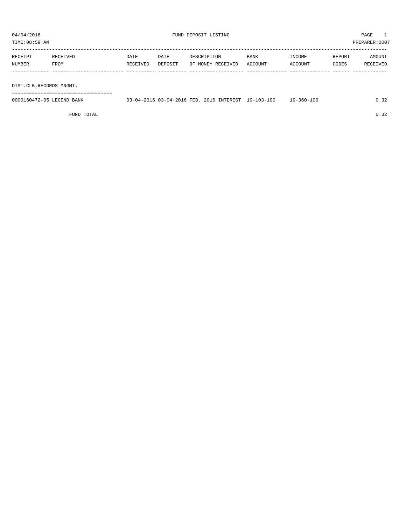TIME:08:59 AM PREPARER:0007

| RECEIPT | RECEIVED | DATE     | DATE    | DESCRIPTION       | <b>BANK</b> | INCOME  | REPORT | AMOUNT   |
|---------|----------|----------|---------|-------------------|-------------|---------|--------|----------|
| NUMBER  | FROM     | RECEIVED | DEPOSIT | OF MONEY RECEIVED | ACCOUNT     | ACCOUNT | CODES  | RECEIVED |
|         |          |          |         |                   |             |         |        |          |
|         |          |          |         |                   |             |         |        |          |

DIST.CLK.RECORDS MNGMT.

===================================

| 0000160472-05 LEGEND BANK | 03-04-2016 03-04-2016 FEB. 2016 INTEREST 19-103-100 |  | 19-360-100 | 0.32 |
|---------------------------|-----------------------------------------------------|--|------------|------|
|                           |                                                     |  |            |      |

FUND TOTAL  $0.32$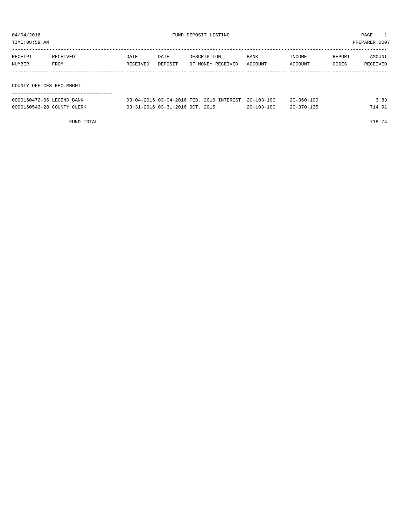| TIME:08:59 AM              |                  |                  |                                 |                                          |                  |                   |                 | PREPARER: 0007            |
|----------------------------|------------------|------------------|---------------------------------|------------------------------------------|------------------|-------------------|-----------------|---------------------------|
| RECEIPT<br>NUMBER          | RECEIVED<br>FROM | DATE<br>RECEIVED | DATE<br>DEPOSIT                 | DESCRIPTION<br>OF MONEY RECEIVED         | BANK<br>ACCOUNT  | INCOME<br>ACCOUNT | REPORT<br>CODES | <b>AMOUNT</b><br>RECEIVED |
| COUNTY OFFICES REC.MNGMT.  |                  |                  |                                 |                                          |                  |                   |                 |                           |
| 0000160472-06 LEGEND BANK  |                  |                  |                                 | 03-04-2016 03-04-2016 FEB. 2016 INTEREST | $20 - 103 - 100$ | $20 - 360 - 100$  |                 | 3.83                      |
| 0000160543-20 COUNTY CLERK |                  |                  | 03-31-2016 03-31-2016 OCT. 2015 |                                          | $20 - 103 - 100$ | $20 - 370 - 135$  |                 | 714.91                    |

FUND TOTAL 718.74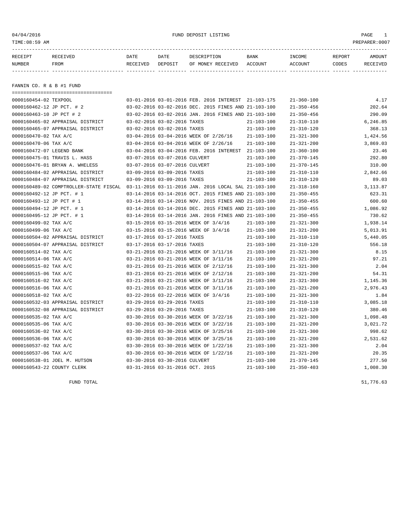04/04/2016 FUND DEPOSIT LISTING PAGE 1

| RECEIPT | <b>RECEIVED</b> | DATE            | DATE    | DESCRIPTION       | <b>BANK</b> | INCOME  | <b>REPORT</b> | AMOUNT          |
|---------|-----------------|-----------------|---------|-------------------|-------------|---------|---------------|-----------------|
| NUMBER  | FROM            | <b>RECEIVED</b> | DEPOSIT | OF MONEY RECEIVED | ACCOUNT     | ACCOUNT | CODES         | <b>RECEIVED</b> |
|         |                 |                 |         |                   |             |         |               |                 |

FANNIN CO. R & B #1 FUND

| ===================================== |                                                                                             |                  |                  |          |
|---------------------------------------|---------------------------------------------------------------------------------------------|------------------|------------------|----------|
| 0000160454-02 TEXPOOL                 | 03-01-2016 03-01-2016 FEB. 2016 INTEREST 21-103-175                                         |                  | $21 - 360 - 100$ | 4.17     |
| 0000160462-12 JP PCT. # 2             | 03-02-2016 03-02-2016 DEC. 2015 FINES AND 21-103-100                                        |                  | $21 - 350 - 456$ | 202.64   |
| 0000160463-10 JP PCT # 2              | 03-02-2016 03-02-2016 JAN. 2016 FINES AND 21-103-100                                        |                  | $21 - 350 - 456$ | 290.09   |
| 0000160465-02 APPRAISAL DISTRICT      | 03-02-2016 03-02-2016 TAXES                                                                 | $21 - 103 - 100$ | $21 - 310 - 110$ | 6,246.85 |
| 0000160465-07 APPRAISAL DISTRICT      | 03-02-2016 03-02-2016 TAXES                                                                 | $21 - 103 - 100$ | $21 - 310 - 120$ | 368.13   |
| 0000160470-02 TAX A/C                 | 03-04-2016 03-04-2016 WEEK OF 2/26/16                                                       | $21 - 103 - 100$ | $21 - 321 - 300$ | 1,424.56 |
| 0000160470-06 TAX A/C                 | 03-04-2016 03-04-2016 WEEK OF 2/26/16                                                       | $21 - 103 - 100$ | $21 - 321 - 200$ | 3,869.03 |
| 0000160472-07 LEGEND BANK             | 03-04-2016 03-04-2016 FEB. 2016 INTEREST 21-103-100                                         |                  | $21 - 360 - 100$ | 23.46    |
| 0000160475-01 TRAVIS L. HASS          | 03-07-2016 03-07-2016 CULVERT                                                               | $21 - 103 - 100$ | $21 - 370 - 145$ | 292.80   |
| 0000160476-01 BRYAN A. WHELESS        | 03-07-2016 03-07-2016 CULVERT                                                               | $21 - 103 - 100$ | $21 - 370 - 145$ | 310.00   |
| 0000160484-02 APPRAISAL DISTRICT      | 03-09-2016 03-09-2016 TAXES                                                                 | $21 - 103 - 100$ | $21 - 310 - 110$ | 2,842.66 |
| 0000160484-07 APPRAISAL DISTRICT      | 03-09-2016 03-09-2016 TAXES                                                                 | $21 - 103 - 100$ | $21 - 310 - 120$ | 89.03    |
|                                       | 0000160489-02 COMPTROLLER-STATE FISCAL 03-11-2016 03-11-2016 JAN. 2016 LOCAL SAL 21-103-100 |                  | $21 - 318 - 160$ | 3,113.87 |
| 0000160492-12 JP PCT. # 1             | 03-14-2016 03-14-2016 OCT. 2015 FINES AND 21-103-100                                        |                  | $21 - 350 - 455$ | 623.31   |
| 0000160493-12 JP PCT # 1              | 03-14-2016 03-14-2016 NOV. 2015 FINES AND 21-103-100                                        |                  | $21 - 350 - 455$ | 600.60   |
| 0000160494-12 JP PCT. # 1             | 03-14-2016 03-14-2016 DEC. 2015 FINES AND 21-103-100                                        |                  | $21 - 350 - 455$ | 1,086.92 |
| 0000160495-12 JP PCT. # 1             | 03-14-2016 03-14-2016 JAN. 2016 FINES AND 21-103-100                                        |                  | $21 - 350 - 455$ | 730.62   |
| 0000160499-02 TAX A/C                 | 03-15-2016 03-15-2016 WEEK OF 3/4/16                                                        | $21 - 103 - 100$ | $21 - 321 - 300$ | 1,938.14 |
| 0000160499-06 TAX A/C                 | 03-15-2016 03-15-2016 WEEK OF 3/4/16                                                        | $21 - 103 - 100$ | $21 - 321 - 200$ | 5,013.91 |
| 0000160504-02 APPRAISAL DISTRICT      | 03-17-2016 03-17-2016 TAXES                                                                 | $21 - 103 - 100$ | $21 - 310 - 110$ | 5,440.05 |
| 0000160504-07 APPRAISAL DISTRICT      | 03-17-2016 03-17-2016 TAXES                                                                 | $21 - 103 - 100$ | $21 - 310 - 120$ | 556.18   |
| 0000160514-02 TAX A/C                 | 03-21-2016 03-21-2016 WEEK OF 3/11/16                                                       | $21 - 103 - 100$ | $21 - 321 - 300$ | 8.15     |
| 0000160514-06 TAX A/C                 | 03-21-2016 03-21-2016 WEEK OF 3/11/16                                                       | $21 - 103 - 100$ | $21 - 321 - 200$ | 97.21    |
| 0000160515-02 TAX A/C                 | 03-21-2016 03-21-2016 WEEK OF 2/12/16                                                       | $21 - 103 - 100$ | $21 - 321 - 300$ | 2.04     |
| 0000160515-06 TAX A/C                 | 03-21-2016 03-21-2016 WEEK OF 2/12/16                                                       | $21 - 103 - 100$ | $21 - 321 - 200$ | 54.31    |
| 0000160516-02 TAX A/C                 | 03-21-2016 03-21-2016 WEEK OF 3/11/16                                                       | $21 - 103 - 100$ | $21 - 321 - 300$ | 1,145.36 |
| 0000160516-06 TAX A/C                 | 03-21-2016 03-21-2016 WEEK OF 3/11/16                                                       | $21 - 103 - 100$ | $21 - 321 - 200$ | 2,976.43 |
| 0000160518-02 TAX A/C                 | 03-22-2016 03-22-2016 WEEK OF 3/4/16                                                        | 21-103-100       | $21 - 321 - 300$ | 1.84     |
| 0000160532-03 APPRAISAL DISTRICT      | 03-29-2016 03-29-2016 TAXES                                                                 | $21 - 103 - 100$ | $21 - 310 - 110$ | 3,085.18 |
| 0000160532-08 APPRAISAL DISTRICT      | 03-29-2016 03-29-2016 TAXES                                                                 | $21 - 103 - 100$ | $21 - 310 - 120$ | 380.46   |
| 0000160535-02 TAX A/C                 | 03-30-2016 03-30-2016 WEEK OF 3/22/16                                                       | $21 - 103 - 100$ | $21 - 321 - 300$ | 1,098.48 |
| 0000160535-06 TAX A/C                 | 03-30-2016 03-30-2016 WEEK OF 3/22/16                                                       | $21 - 103 - 100$ | $21 - 321 - 200$ | 3,021.72 |
| 0000160536-02 TAX A/C                 | 03-30-2016 03-30-2016 WEEK OF 3/25/16                                                       | $21 - 103 - 100$ | $21 - 321 - 300$ | 998.62   |
| 0000160536-06 TAX A/C                 | 03-30-2016 03-30-2016 WEEK OF 3/25/16                                                       | $21 - 103 - 100$ | $21 - 321 - 200$ | 2,531.62 |
| 0000160537-02 TAX A/C                 | 03-30-2016 03-30-2016 WEEK OF 1/22/16                                                       | $21 - 103 - 100$ | $21 - 321 - 300$ | 2.04     |
| 0000160537-06 TAX A/C                 | 03-30-2016 03-30-2016 WEEK OF 1/22/16                                                       | $21 - 103 - 100$ | $21 - 321 - 200$ | 20.35    |
| 0000160538-01 JOEL M. HUTSON          | 03-30-2016 03-30-2016 CULVERT                                                               | $21 - 103 - 100$ | $21 - 370 - 145$ | 277.50   |
| 0000160543-22 COUNTY CLERK            | 03-31-2016 03-31-2016 OCT. 2015                                                             | $21 - 103 - 100$ | $21 - 350 - 403$ | 1,008.30 |

FUND TOTAL  $51,776.63$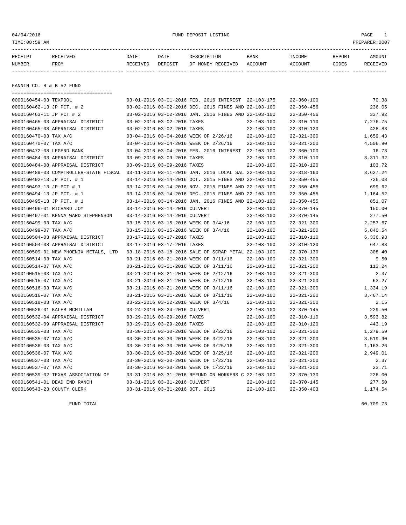04/04/2016 FUND DEPOSIT LISTING PAGE 1

| RECEIPT | <b>RECEIVED</b> | DATE     | DATE    | דידס דפר/פתח         | <b>BANK</b> | INCOME  | REPORT | AMOUNT          |
|---------|-----------------|----------|---------|----------------------|-------------|---------|--------|-----------------|
| NUMBER  | FROM            | RECEIVED | DEPOSIT | RECEIVED<br>OF MONEY | ACCOUNT     | ACCOUNT | CODES  | <b>RECEIVED</b> |
|         |                 |          |         |                      |             |         |        |                 |

FANNIN CO. R & B #2 FUND

| -----------------------------------    |                                                      |                  |                  |            |
|----------------------------------------|------------------------------------------------------|------------------|------------------|------------|
| 0000160454-03 TEXPOOL                  | 03-01-2016 03-01-2016 FEB. 2016 INTEREST 22-103-175  |                  | $22 - 360 - 100$ | 70.38      |
| 0000160462-13 JP PCT. # 2              | 03-02-2016 03-02-2016 DEC. 2015 FINES AND 22-103-100 |                  | $22 - 350 - 456$ | 236.05     |
| 0000160463-11 JP PCT # 2               | 03-02-2016 03-02-2016 JAN. 2016 FINES AND 22-103-100 |                  | $22 - 350 - 456$ | 337.92     |
| 0000160465-03 APPRAISAL DISTRICT       | 03-02-2016 03-02-2016 TAXES                          | $22 - 103 - 100$ | $22 - 310 - 110$ | 7,276.75   |
| 0000160465-08 APPRAISAL DISTRICT       | 03-02-2016 03-02-2016 TAXES                          | $22 - 103 - 100$ | $22 - 310 - 120$ | 428.83     |
| 0000160470-03 TAX A/C                  | 03-04-2016 03-04-2016 WEEK OF 2/26/16                | $22 - 103 - 100$ | $22 - 321 - 300$ | 1,659.43   |
| 0000160470-07 TAX A/C                  | 03-04-2016 03-04-2016 WEEK OF 2/26/16                | $22 - 103 - 100$ | $22 - 321 - 200$ | 4,506.90   |
| 0000160472-08 LEGEND BANK              | 03-04-2016 03-04-2016 FEB. 2016 INTEREST 22-103-100  |                  | $22 - 360 - 100$ | 16.73      |
| 0000160484-03 APPRAISAL DISTRICT       | 03-09-2016 03-09-2016 TAXES                          | $22 - 103 - 100$ | $22 - 310 - 110$ | 3, 311, 32 |
| 0000160484-08 APPRAISAL DISTRICT       | 03-09-2016 03-09-2016 TAXES                          | $22 - 103 - 100$ | $22 - 310 - 120$ | 103.72     |
| 0000160489-03 COMPTROLLER-STATE FISCAL | 03-11-2016 03-11-2016 JAN. 2016 LOCAL SAL 22-103-100 |                  | $22 - 318 - 160$ | 3,627.24   |
| 0000160492-13 JP PCT. # 1              | 03-14-2016 03-14-2016 OCT. 2015 FINES AND 22-103-100 |                  | $22 - 350 - 455$ | 726.08     |
| 0000160493-13 JP PCT # 1               | 03-14-2016 03-14-2016 NOV. 2015 FINES AND 22-103-100 |                  | $22 - 350 - 455$ | 699.62     |
| 0000160494-13 JP PCT. # 1              | 03-14-2016 03-14-2016 DEC. 2015 FINES AND 22-103-100 |                  | $22 - 350 - 455$ | 1,164.52   |
| 0000160495-13 JP PCT. # 1              | 03-14-2016 03-14-2016 JAN. 2016 FINES AND 22-103-100 |                  | $22 - 350 - 455$ | 851.07     |
| 0000160496-01 RICHARD JOY              | 03-14-2016 03-14-2016 CULVERT                        | $22 - 103 - 100$ | $22 - 370 - 145$ | 150.00     |
| 0000160497-01 KENNA WARD STEPHENSON    | 03-14-2016 03-14-2016 CULVERT                        | $22 - 103 - 100$ | $22 - 370 - 145$ | 277.50     |
| 0000160499-03 TAX A/C                  | 03-15-2016 03-15-2016 WEEK OF 3/4/16                 | $22 - 103 - 100$ | $22 - 321 - 300$ | 2,257.67   |
| 0000160499-07 TAX A/C                  | 03-15-2016 03-15-2016 WEEK OF 3/4/16                 | $22 - 103 - 100$ | $22 - 321 - 200$ | 5,840.54   |
| 0000160504-03 APPRAISAL DISTRICT       | 03-17-2016 03-17-2016 TAXES                          | $22 - 103 - 100$ | $22 - 310 - 110$ | 6,336.93   |
| 0000160504-08 APPRAISAL DISTRICT       | 03-17-2016 03-17-2016 TAXES                          | $22 - 103 - 100$ | $22 - 310 - 120$ | 647.88     |
| 0000160509-01 NEW PHOENIX METALS, LTD  | 03-18-2016 03-18-2016 SALE OF SCRAP METAL 22-103-100 |                  | $22 - 370 - 130$ | 308.40     |
| 0000160514-03 TAX A/C                  | 03-21-2016 03-21-2016 WEEK OF 3/11/16                | $22 - 103 - 100$ | $22 - 321 - 300$ | 9.50       |
| 0000160514-07 TAX A/C                  | 03-21-2016 03-21-2016 WEEK OF 3/11/16                | $22 - 103 - 100$ | $22 - 321 - 200$ | 113.24     |
| 0000160515-03 TAX A/C                  | 03-21-2016 03-21-2016 WEEK OF 2/12/16                | $22 - 103 - 100$ | $22 - 321 - 300$ | 2.37       |
| 0000160515-07 TAX A/C                  | 03-21-2016 03-21-2016 WEEK OF 2/12/16                | $22 - 103 - 100$ | $22 - 321 - 200$ | 63.27      |
| 0000160516-03 TAX A/C                  | 03-21-2016 03-21-2016 WEEK OF 3/11/16                | $22 - 103 - 100$ | $22 - 321 - 300$ | 1,334.19   |
| 0000160516-07 TAX A/C                  | 03-21-2016 03-21-2016 WEEK OF 3/11/16                | $22 - 103 - 100$ | $22 - 321 - 200$ | 3,467.14   |
| 0000160518-03 TAX A/C                  | 03-22-2016 03-22-2016 WEEK OF 3/4/16                 | $22 - 103 - 100$ | $22 - 321 - 300$ | 2.15       |
| 0000160526-01 KALEB MCMILLAN           | 03-24-2016 03-24-2016 CULVERT                        | $22 - 103 - 100$ | $22 - 370 - 145$ | 229.50     |
| 0000160532-04 APPRAISAL DISTRICT       | 03-29-2016 03-29-2016 TAXES                          | $22 - 103 - 100$ | $22 - 310 - 110$ | 3,593.82   |
| 0000160532-09 APPRAISAL DISTRICT       | 03-29-2016 03-29-2016 TAXES                          | $22 - 103 - 100$ | $22 - 310 - 120$ | 443.19     |
| 0000160535-03 TAX A/C                  | 03-30-2016 03-30-2016 WEEK OF 3/22/16                | $22 - 103 - 100$ | $22 - 321 - 300$ | 1,279.59   |
| 0000160535-07 TAX A/C                  | 03-30-2016 03-30-2016 WEEK OF 3/22/16                | $22 - 103 - 100$ | $22 - 321 - 200$ | 3,519.90   |
| 0000160536-03 TAX A/C                  | 03-30-2016 03-30-2016 WEEK OF 3/25/16                | $22 - 103 - 100$ | $22 - 321 - 300$ | 1,163.26   |
| 0000160536-07 TAX A/C                  | 03-30-2016 03-30-2016 WEEK OF 3/25/16                | $22 - 103 - 100$ | $22 - 321 - 200$ | 2,949.01   |
| 0000160537-03 TAX A/C                  | 03-30-2016 03-30-2016 WEEK OF 1/22/16                | $22 - 103 - 100$ | $22 - 321 - 300$ | 2.37       |
| 0000160537-07 TAX A/C                  | 03-30-2016 03-30-2016 WEEK OF 1/22/16                | $22 - 103 - 100$ | $22 - 321 - 200$ | 23.71      |
| 0000160539-02 TEXAS ASSOCIATION OF     | 03-31-2016 03-31-2016 REFUND ON WORKERS C 22-103-100 |                  | $22 - 370 - 130$ | 226.00     |
| 0000160541-01 DEAD END RANCH           | 03-31-2016 03-31-2016 CULVERT                        | $22 - 103 - 100$ | $22 - 370 - 145$ | 277.50     |
| 0000160543-23 COUNTY CLERK             | 03-31-2016 03-31-2016 OCT. 2015                      | $22 - 103 - 100$ | $22 - 350 - 403$ | 1,174.54   |
|                                        |                                                      |                  |                  |            |

 $FUND$  to the contract of  $60,709.73$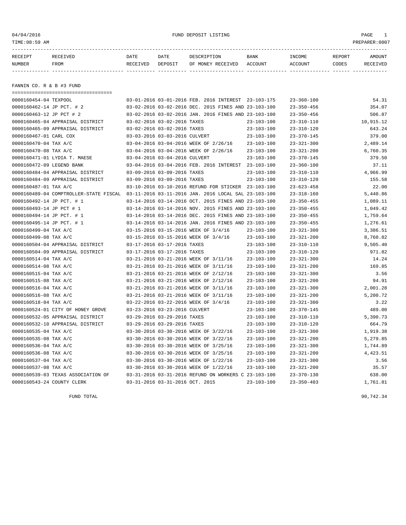04/04/2016 FUND DEPOSIT LISTING PAGE 1

| RECEIPT | <b>RECEIVED</b> | DATE     | DATE    | DESCRIPTION       | <b>BANK</b> | INCOME  | REPORT | AMOUNT          |
|---------|-----------------|----------|---------|-------------------|-------------|---------|--------|-----------------|
| NUMBER  | FROM            | RECEIVED | DEPOSIT | OF MONEY RECEIVED | ACCOUNT     | ACCOUNT | CODES  | <b>RECEIVED</b> |
|         |                 |          |         |                   |             |         |        |                 |

FANNIN CO. R & B #3 FUND

| ====================================   |                                                      |                  |                  |           |
|----------------------------------------|------------------------------------------------------|------------------|------------------|-----------|
| 0000160454-04 TEXPOOL                  | 03-01-2016 03-01-2016 FEB. 2016 INTEREST 23-103-175  |                  | $23 - 360 - 100$ | 54.31     |
| 0000160462-14 JP PCT. # 2              | 03-02-2016 03-02-2016 DEC. 2015 FINES AND 23-103-100 |                  | $23 - 350 - 456$ | 354.07    |
| 0000160463-12 JP PCT # 2               | 03-02-2016 03-02-2016 JAN. 2016 FINES AND 23-103-100 |                  | $23 - 350 - 456$ | 506.87    |
| 0000160465-04 APPRAISAL DISTRICT       | 03-02-2016 03-02-2016 TAXES                          | $23 - 103 - 100$ | $23 - 310 - 110$ | 10,915.12 |
| 0000160465-09 APPRAISAL DISTRICT       | 03-02-2016 03-02-2016 TAXES                          | $23 - 103 - 100$ | $23 - 310 - 120$ | 643.24    |
| 0000160467-01 CARL COX                 | 03-03-2016 03-03-2016 CULVERT                        | $23 - 103 - 100$ | $23 - 370 - 145$ | 379.00    |
| 0000160470-04 TAX A/C                  | 03-04-2016 03-04-2016 WEEK OF 2/26/16                | $23 - 103 - 100$ | $23 - 321 - 300$ | 2,489.14  |
| 0000160470-08 TAX A/C                  | 03-04-2016 03-04-2016 WEEK OF 2/26/16                | $23 - 103 - 100$ | $23 - 321 - 200$ | 6,760.35  |
| 0000160471-01 LYDIA T. MAESE           | 03-04-2016 03-04-2016 CULVERT                        | $23 - 103 - 100$ | $23 - 370 - 145$ | 379.50    |
| 0000160472-09 LEGEND BANK              | 03-04-2016 03-04-2016 FEB. 2016 INTEREST 23-103-100  |                  | $23 - 360 - 100$ | 37.11     |
| 0000160484-04 APPRAISAL DISTRICT       | 03-09-2016 03-09-2016 TAXES                          | $23 - 103 - 100$ | $23 - 310 - 110$ | 4,966.99  |
| 0000160484-09 APPRAISAL DISTRICT       | 03-09-2016 03-09-2016 TAXES                          | $23 - 103 - 100$ | $23 - 310 - 120$ | 155.58    |
| 0000160487-01 TAX A/C                  | 03-10-2016 03-10-2016 REFUND FOR STICKER 23-103-100  |                  | $23 - 623 - 458$ | 22.00     |
| 0000160489-04 COMPTROLLER-STATE FISCAL | 03-11-2016 03-11-2016 JAN. 2016 LOCAL SAL 23-103-100 |                  | $23 - 318 - 160$ | 5,440.86  |
| 0000160492-14 JP PCT. # 1              | 03-14-2016 03-14-2016 OCT. 2015 FINES AND 23-103-100 |                  | $23 - 350 - 455$ | 1,089.11  |
| 0000160493-14 JP PCT # 1               | 03-14-2016 03-14-2016 NOV. 2015 FINES AND 23-103-100 |                  | $23 - 350 - 455$ | 1,049.42  |
| 0000160494-14 JP PCT. # 1              | 03-14-2016 03-14-2016 DEC. 2015 FINES AND 23-103-100 |                  | $23 - 350 - 455$ | 1,759.64  |
| 0000160495-14 JP PCT. # 1              | 03-14-2016 03-14-2016 JAN. 2016 FINES AND 23-103-100 |                  | $23 - 350 - 455$ | 1,276.61  |
| 0000160499-04 TAX A/C                  | 03-15-2016 03-15-2016 WEEK OF 3/4/16                 | $23 - 103 - 100$ | $23 - 321 - 300$ | 3,386.51  |
| 0000160499-08 TAX A/C                  | 03-15-2016 03-15-2016 WEEK OF 3/4/16                 | $23 - 103 - 100$ | $23 - 321 - 200$ | 8,760.82  |
| 0000160504-04 APPRAISAL DISTRICT       | 03-17-2016 03-17-2016 TAXES                          | $23 - 103 - 100$ | $23 - 310 - 110$ | 9,505.40  |
| 0000160504-09 APPRAISAL DISTRICT       | 03-17-2016 03-17-2016 TAXES                          | $23 - 103 - 100$ | $23 - 310 - 120$ | 971.82    |
| 0000160514-04 TAX A/C                  | 03-21-2016 03-21-2016 WEEK OF 3/11/16                | $23 - 103 - 100$ | $23 - 321 - 300$ | 14.24     |
| 0000160514-08 TAX A/C                  | 03-21-2016 03-21-2016 WEEK OF 3/11/16                | $23 - 103 - 100$ | $23 - 321 - 200$ | 169.85    |
| 0000160515-04 TAX A/C                  | 03-21-2016 03-21-2016 WEEK OF 2/12/16                | $23 - 103 - 100$ | $23 - 321 - 300$ | 3.56      |
| 0000160515-08 TAX A/C                  | 03-21-2016 03-21-2016 WEEK OF 2/12/16                | $23 - 103 - 100$ | $23 - 321 - 200$ | 94.91     |
| 0000160516-04 TAX A/C                  | 03-21-2016 03-21-2016 WEEK OF 3/11/16                | $23 - 103 - 100$ | $23 - 321 - 300$ | 2,001.28  |
| 0000160516-08 TAX A/C                  | 03-21-2016 03-21-2016 WEEK OF 3/11/16                | $23 - 103 - 100$ | $23 - 321 - 200$ | 5,200.72  |
| 0000160518-04 TAX A/C                  | 03-22-2016 03-22-2016 WEEK OF 3/4/16                 | $23 - 103 - 100$ | $23 - 321 - 300$ | 3.22      |
| 0000160524-01 CITY OF HONEY GROVE      | 03-23-2016 03-23-2016 CULVERT                        | $23 - 103 - 100$ | $23 - 370 - 145$ | 489.00    |
| 0000160532-05 APPRAISAL DISTRICT       | 03-29-2016 03-29-2016 TAXES                          | $23 - 103 - 100$ | $23 - 310 - 110$ | 5,390.73  |
| 0000160532-10 APPRAISAL DISTRICT       | 03-29-2016 03-29-2016 TAXES                          | $23 - 103 - 100$ | $23 - 310 - 120$ | 664.79    |
| 0000160535-04 TAX A/C                  | 03-30-2016 03-30-2016 WEEK OF 3/22/16                | $23 - 103 - 100$ | $23 - 321 - 300$ | 1,919.38  |
| 0000160535-08 TAX A/C                  | 03-30-2016 03-30-2016 WEEK OF 3/22/16                | $23 - 103 - 100$ | $23 - 321 - 200$ | 5,279.85  |
| 0000160536-04 TAX A/C                  | 03-30-2016 03-30-2016 WEEK OF 3/25/16                | $23 - 103 - 100$ | $23 - 321 - 300$ | 1,744.89  |
| 0000160536-08 TAX A/C                  | 03-30-2016 03-30-2016 WEEK OF 3/25/16                | $23 - 103 - 100$ | $23 - 321 - 200$ | 4,423.51  |
| 0000160537-04 TAX A/C                  | 03-30-2016 03-30-2016 WEEK OF 1/22/16                | $23 - 103 - 100$ | $23 - 321 - 300$ | 3.56      |
| 0000160537-08 TAX A/C                  | 03-30-2016 03-30-2016 WEEK OF 1/22/16                | $23 - 103 - 100$ | $23 - 321 - 200$ | 35.57     |
| 0000160539-03 TEXAS ASSOCIATION OF     | 03-31-2016 03-31-2016 REFUND ON WORKERS C 23-103-100 |                  | $23 - 370 - 130$ | 638.00    |
| 0000160543-24 COUNTY CLERK             | 03-31-2016 03-31-2016 OCT. 2015                      | $23 - 103 - 100$ | $23 - 350 - 403$ | 1,761.81  |

FUND TOTAL  $90,742.34$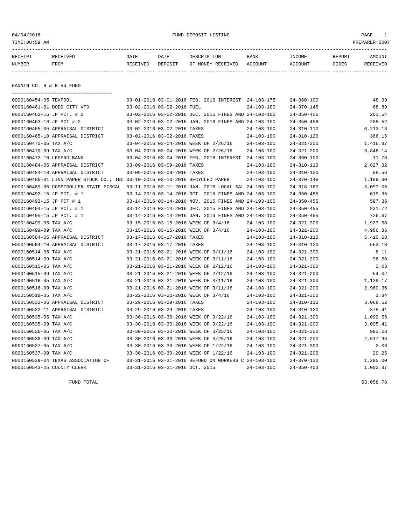04/04/2016 FUND DEPOSIT LISTING PAGE 1

| RECEIPT | <b>RECEIVED</b> | DATE            | DATE    | DESCRIPTION       | <b>BANK</b> | INCOME  | REPORT | AMOUNT   |
|---------|-----------------|-----------------|---------|-------------------|-------------|---------|--------|----------|
| NUMBER  | FROM            | <b>RECEIVED</b> | DEPOSIT | OF MONEY RECEIVED | ACCOUNT     | ACCOUNT | CODES  | RECEIVED |
|         |                 |                 |         |                   |             |         |        |          |

FANNIN CO. R & B #4 FUND

|                            | ======================================                                                      |                                 |                                                      |                  |                  |            |
|----------------------------|---------------------------------------------------------------------------------------------|---------------------------------|------------------------------------------------------|------------------|------------------|------------|
| 0000160454-05 TEXPOOL      |                                                                                             |                                 | 03-01-2016 03-01-2016 FEB. 2016 INTEREST 24-103-175  |                  | $24 - 360 - 100$ | 48.99      |
|                            | 0000160461-01 DODD CITY VFD                                                                 | 03-02-2016 03-02-2016 FUEL      |                                                      | $24 - 103 - 100$ | $24 - 370 - 145$ | 68.89      |
| 0000160462-15 JP PCT. # 2  |                                                                                             |                                 | 03-02-2016 03-02-2016 DEC. 2015 FINES AND 24-103-100 |                  | $24 - 350 - 456$ | 201.54     |
| 0000160463-13 JP PCT # 2   |                                                                                             |                                 | 03-02-2016 03-02-2016 JAN. 2016 FINES AND 24-103-100 |                  | $24 - 350 - 456$ | 288.52     |
|                            | 0000160465-05 APPRAISAL DISTRICT                                                            | 03-02-2016 03-02-2016 TAXES     |                                                      | $24 - 103 - 100$ | $24 - 310 - 110$ | 6, 213. 13 |
|                            | 0000160465-10 APPRAISAL DISTRICT                                                            | 03-02-2016 03-02-2016 TAXES     |                                                      | $24 - 103 - 100$ | $24 - 310 - 120$ | 366.15     |
| 0000160470-05 TAX A/C      |                                                                                             |                                 | 03-04-2016 03-04-2016 WEEK OF 2/26/16                | $24 - 103 - 100$ | $24 - 321 - 300$ | 1,416.87   |
| 0000160470-09 TAX A/C      |                                                                                             |                                 | 03-04-2016 03-04-2016 WEEK OF 2/26/16                | $24 - 103 - 100$ | $24 - 321 - 200$ | 3,848.14   |
| 0000160472-10 LEGEND BANK  |                                                                                             |                                 | 03-04-2016 03-04-2016 FEB. 2016 INTEREST 24-103-100  |                  | $24 - 360 - 100$ | 11.78      |
|                            | 0000160484-05 APPRAISAL DISTRICT                                                            | 03-09-2016 03-09-2016 TAXES     |                                                      | $24 - 103 - 100$ | $24 - 310 - 110$ | 2,827.32   |
|                            | 0000160484-10 APPRAISAL DISTRICT                                                            | 03-09-2016 03-09-2016 TAXES     |                                                      | $24 - 103 - 100$ | $24 - 310 - 120$ | 88.56      |
|                            | 0000160486-01 LINN PAPER STOCK CO., INC 03-10-2016 03-10-2016 RECYCLED PAPER                |                                 |                                                      | $24 - 103 - 100$ | $24 - 370 - 146$ | 1,189.30   |
|                            | 0000160489-05 COMPTROLLER-STATE FISCAL 03-11-2016 03-11-2016 JAN. 2016 LOCAL SAL 24-103-100 |                                 |                                                      |                  | $24 - 318 - 160$ | 3,097.06   |
| 0000160492-15 JP PCT. # 1  |                                                                                             |                                 | 03-14-2016 03-14-2016 OCT. 2015 FINES AND 24-103-100 |                  | $24 - 350 - 455$ | 619.95     |
| 0000160493-15 JP PCT # 1   |                                                                                             |                                 | 03-14-2016 03-14-2016 NOV. 2015 FINES AND 24-103-100 |                  | $24 - 350 - 455$ | 597.36     |
| 0000160494-15 JP PCT. # 1  |                                                                                             |                                 | 03-14-2016 03-14-2016 DEC. 2015 FINES AND 24-103-100 |                  | $24 - 350 - 455$ | 931.72     |
| 0000160495-15 JP PCT. # 1  |                                                                                             |                                 | 03-14-2016 03-14-2016 JAN. 2016 FINES AND 24-103-100 |                  | $24 - 350 - 455$ | 726.67     |
| 0000160499-05 TAX A/C      |                                                                                             |                                 | 03-15-2016 03-15-2016 WEEK OF 3/4/16                 | $24 - 103 - 100$ | $24 - 321 - 300$ | 1,927.68   |
| 0000160499-09 TAX A/C      |                                                                                             |                                 | 03-15-2016 03-15-2016 WEEK OF 3/4/16                 | $24 - 103 - 100$ | $24 - 321 - 200$ | 4,986.85   |
|                            | 0000160504-05 APPRAISAL DISTRICT                                                            | 03-17-2016 03-17-2016 TAXES     |                                                      | $24 - 103 - 100$ | $24 - 310 - 110$ | 5,410.68   |
|                            | 0000160504-10 APPRAISAL DISTRICT                                                            | 03-17-2016 03-17-2016 TAXES     |                                                      | $24 - 103 - 100$ | $24 - 310 - 120$ | 553.18     |
| 0000160514-05 TAX A/C      |                                                                                             |                                 | 03-21-2016 03-21-2016 WEEK OF 3/11/16                | $24 - 103 - 100$ | $24 - 321 - 300$ | 8.11       |
| 0000160514-09 TAX A/C      |                                                                                             |                                 | 03-21-2016 03-21-2016 WEEK OF 3/11/16                | $24 - 103 - 100$ | $24 - 321 - 200$ | 96.68      |
| 0000160515-05 TAX A/C      |                                                                                             |                                 | 03-21-2016 03-21-2016 WEEK OF 2/12/16                | $24 - 103 - 100$ | $24 - 321 - 300$ | 2.03       |
| 0000160515-09 TAX A/C      |                                                                                             |                                 | 03-21-2016 03-21-2016 WEEK OF 2/12/16                | $24 - 103 - 100$ | $24 - 321 - 200$ | 54.02      |
| 0000160516-05 TAX A/C      |                                                                                             |                                 | 03-21-2016 03-21-2016 WEEK OF 3/11/16                | $24 - 103 - 100$ | $24 - 321 - 300$ | 1,139.17   |
| 0000160516-09 TAX A/C      |                                                                                             |                                 | 03-21-2016 03-21-2016 WEEK OF 3/11/16                | $24 - 103 - 100$ | $24 - 321 - 200$ | 2,960.36   |
| 0000160518-05 TAX A/C      |                                                                                             |                                 | 03-22-2016 03-22-2016 WEEK OF 3/4/16                 | $24 - 103 - 100$ | $24 - 321 - 300$ | 1.84       |
|                            | 0000160532-06 APPRAISAL DISTRICT                                                            | 03-29-2016 03-29-2016 TAXES     |                                                      | $24 - 103 - 100$ | $24 - 310 - 110$ | 3,068.52   |
|                            | 0000160532-11 APPRAISAL DISTRICT                                                            | 03-29-2016 03-29-2016 TAXES     |                                                      | $24 - 103 - 100$ | $24 - 310 - 120$ | 378.41     |
| 0000160535-05 TAX A/C      |                                                                                             |                                 | 03-30-2016 03-30-2016 WEEK OF 3/22/16                | $24 - 103 - 100$ | $24 - 321 - 300$ | 1,092.55   |
| 0000160535-09 TAX A/C      |                                                                                             |                                 | 03-30-2016 03-30-2016 WEEK OF 3/22/16                | $24 - 103 - 100$ | $24 - 321 - 200$ | 3,005.41   |
| 0000160536-05 TAX A/C      |                                                                                             |                                 | 03-30-2016 03-30-2016 WEEK OF 3/25/16                | $24 - 103 - 100$ | $24 - 321 - 300$ | 993.23     |
| 0000160536-09 TAX A/C      |                                                                                             |                                 | 03-30-2016 03-30-2016 WEEK OF 3/25/16                | $24 - 103 - 100$ | $24 - 321 - 200$ | 2,517.96   |
| 0000160537-05 TAX A/C      |                                                                                             |                                 | 03-30-2016 03-30-2016 WEEK OF 1/22/16                | $24 - 103 - 100$ | $24 - 321 - 300$ | 2.03       |
| 0000160537-09 TAX A/C      |                                                                                             |                                 | 03-30-2016 03-30-2016 WEEK OF 1/22/16                | $24 - 103 - 100$ | $24 - 321 - 200$ | 20.25      |
|                            | 0000160539-04 TEXAS ASSOCIATION OF                                                          |                                 | 03-31-2016 03-31-2016 REFUND ON WORKERS C 24-103-100 |                  | $24 - 370 - 130$ | 1,295.00   |
| 0000160543-25 COUNTY CLERK |                                                                                             | 03-31-2016 03-31-2016 OCT. 2015 |                                                      | $24 - 103 - 100$ | $24 - 350 - 403$ | 1,002.87   |

FUND TOTAL  $53,058.78$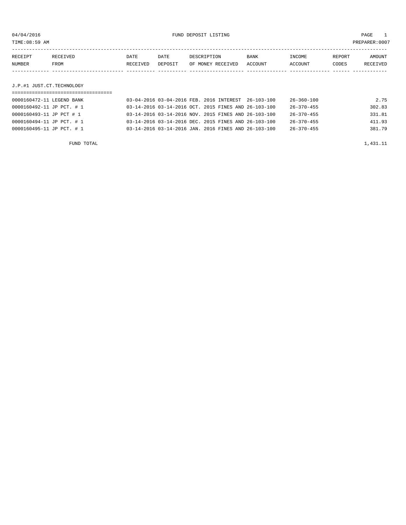04/04/2016 FUND DEPOSIT LISTING PAGE 1

| RECEIPT                   | RECEIVED | DATE     | DATE    | DESCRIPTION       | BANK    | INCOME  | REPORT | AMOUNT   |
|---------------------------|----------|----------|---------|-------------------|---------|---------|--------|----------|
| NUMBER                    | FROM     | RECEIVED | DEPOSIT | OF MONEY RECEIVED | ACCOUNT | ACCOUNT | CODES  | RECEIVED |
|                           |          |          |         |                   |         |         |        |          |
|                           |          |          |         |                   |         |         |        |          |
| J.P.#1 JUST.CT.TECHNOLOGY |          |          |         |                   |         |         |        |          |

| 0000160472-11 LEGEND BANK |  |  | 03-04-2016 03-04-2016 FEB. 2016 INTEREST 26-103-100  | $26 - 360 - 100$ | 2.75   |
|---------------------------|--|--|------------------------------------------------------|------------------|--------|
| 0000160492-11 JP PCT. # 1 |  |  | 03-14-2016 03-14-2016 OCT. 2015 FINES AND 26-103-100 | 26-370-455       | 302.83 |
| 0000160493-11 JP PCT # 1  |  |  | 03-14-2016 03-14-2016 NOV. 2015 FINES AND 26-103-100 | 26-370-455       | 331.81 |
| 0000160494-11 JP PCT. # 1 |  |  | 03-14-2016 03-14-2016 DEC. 2015 FINES AND 26-103-100 | $26 - 370 - 455$ | 411.93 |
| 0000160495-11 JP PCT. # 1 |  |  | 03-14-2016 03-14-2016 JAN. 2016 FINES AND 26-103-100 | $26 - 370 - 455$ | 381.79 |
|                           |  |  |                                                      |                  |        |

FUND TOTAL  $1,431.11$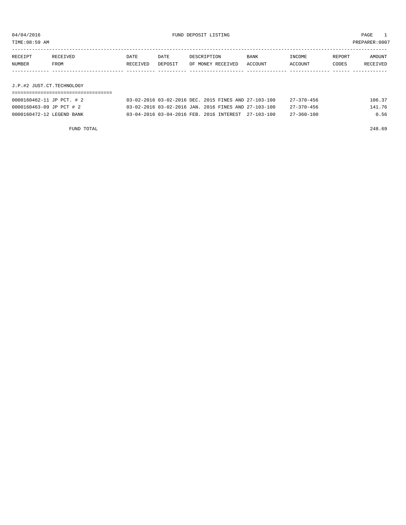TIME:08:59 AM PREPARER:0007

| RECEIPT                   | RECEIVED | DATE     | DATE    | DESCRIPTION       | <b>BANK</b> | INCOME  | REPORT | AMOUNT   |
|---------------------------|----------|----------|---------|-------------------|-------------|---------|--------|----------|
| NUMBER                    | FROM     | RECEIVED | DEPOSIT | OF MONEY RECEIVED | ACCOUNT     | ACCOUNT | CODES  | RECEIVED |
|                           |          |          |         |                   |             |         |        |          |
|                           |          |          |         |                   |             |         |        |          |
| J.P.#2 JUST.CT.TECHNOLOGY |          |          |         |                   |             |         |        |          |
|                           |          |          |         |                   |             |         |        |          |

| 0000160462-11 JP PCT. # 2 | 03-02-2016 03-02-2016 DEC. 2015 FINES AND 27-103-100 |  | $27 - 370 - 456$ | 106.37 |
|---------------------------|------------------------------------------------------|--|------------------|--------|
| 0000160463-09 JP PCT # 2  | 03-02-2016 03-02-2016 JAN. 2016 FINES AND 27-103-100 |  | $27 - 370 - 456$ | 141.76 |
| 0000160472-12 LEGEND BANK | 03-04-2016 03-04-2016 FEB. 2016 INTEREST 27-103-100  |  | 27-360-100       | 0.56   |

FUND TOTAL 248.69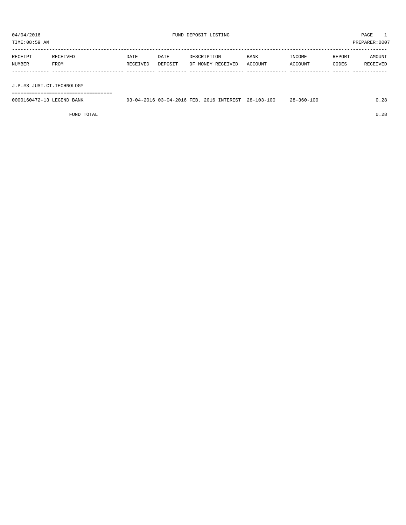TIME:08:59 AM PREPARER:0007

| RECEIPT | RECEIVED | DATE     | DATE    | DESCRIPTION       | <b>BANK</b> | INCOME  | REPORT | AMOUNT   |
|---------|----------|----------|---------|-------------------|-------------|---------|--------|----------|
| NUMBER  | FROM     | RECEIVED | DEPOSIT | OF MONEY RECEIVED | ACCOUNT     | ACCOUNT | CODES  | RECEIVED |
|         |          |          |         |                   |             |         |        |          |

J.P.#3 JUST.CT.TECHNOLOGY

===================================

| 0000160472-13 LEGEND BANK | 03-04-2016 03-04-2016 FEB. 2 | 2016 INTEREST | $28 - 103 - 100$ | $28 - 360 - 100$ | .28 |
|---------------------------|------------------------------|---------------|------------------|------------------|-----|
|                           |                              |               |                  |                  |     |
|                           |                              |               |                  |                  |     |

FUND TOTAL 0.28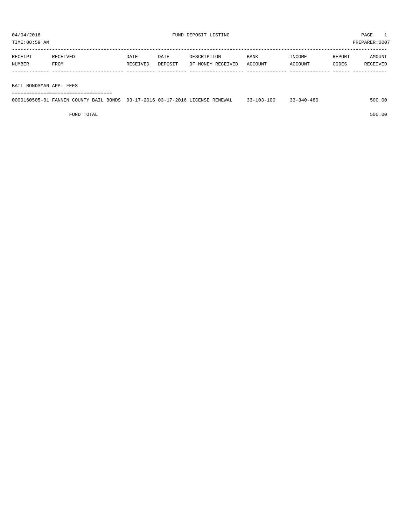TIME:08:59 AM PREPARER:0007 -----------------------------------------------------------------------------------------------------------------------------------

| <b>RECETPT</b> |      | DATE     | DATE    | TPTION                    | <b>BANK</b>    | INCOME        | REPORT | <b>MOUNT</b> |
|----------------|------|----------|---------|---------------------------|----------------|---------------|--------|--------------|
| <b>NUMBER</b>  | FROM | RECEIVED | DEPOSIT | RECEIVED<br>. MONEY<br>OF | <b>ACCOUNT</b> | <b>CCOUNT</b> | CODES  |              |
|                |      |          |         |                           |                |               |        |              |

BAIL BONDSMAN APP. FEES

===================================

|  | 0000160505-01 FANNIN COUNTY BAIL BONDS 03-17-2016 03-17-2016 LICENSE RENEWAL | $33 - 103 - 100$ | $33 - 340 - 480$ | 500.00 |
|--|------------------------------------------------------------------------------|------------------|------------------|--------|
|  |                                                                              |                  |                  |        |

FUND TOTAL 500.00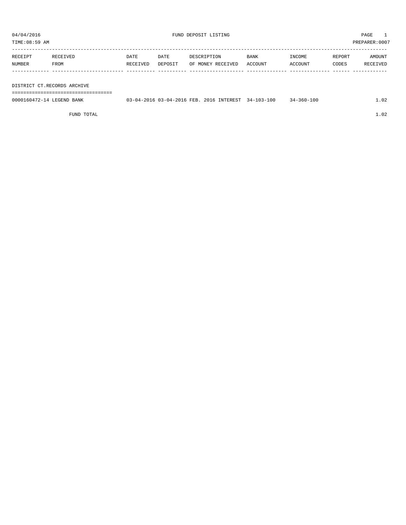TIME:08:59 AM PREPARER:0007

| RECEIPT | RECEIVED    | DATE     | DATE    | DESCRIPTION       | <b>BANK</b> | <b>TNCOME</b> | REPORT | AMOUNT   |
|---------|-------------|----------|---------|-------------------|-------------|---------------|--------|----------|
| NUMBER  | <b>FROM</b> | RECEIVED | DEPOSIT | OF MONEY RECEIVED | ACCOUNT     | ACCOUNT       | CODES  | RECEIVED |
|         |             |          |         |                   |             |               |        |          |

DISTRICT CT.RECORDS ARCHIVE

===================================

| 0000160472-14 LEGEND BANK | 03-04-2016 03-04-2016 FEB. 2016 INTEREST 34-103-100 |  | 34-360-100 | 1.02 |
|---------------------------|-----------------------------------------------------|--|------------|------|
|                           |                                                     |  |            |      |

FUND TOTAL  $1.02$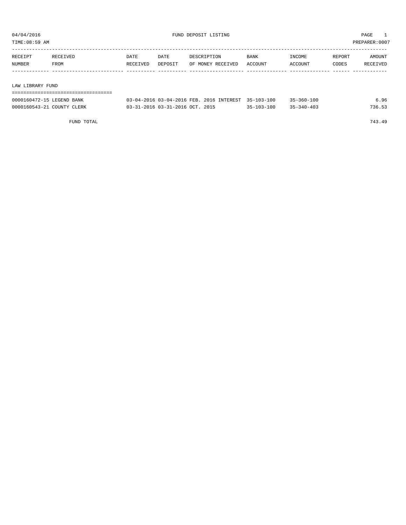TIME:08:59 AM PREPARER:0007

| RECEIPT          | RECEIVED | DATE     | DATE    | DESCRIPTION       | <b>BANK</b> | INCOME  | REPORT | AMOUNT   |
|------------------|----------|----------|---------|-------------------|-------------|---------|--------|----------|
| NUMBER           | FROM     | RECEIVED | DEPOSIT | OF MONEY RECEIVED | ACCOUNT     | ACCOUNT | CODES  | RECEIVED |
|                  |          |          |         |                   |             |         |        |          |
|                  |          |          |         |                   |             |         |        |          |
| LAW LIBRARY FUND |          |          |         |                   |             |         |        |          |

| 0000160472-15 LEGEND BANK  | 03-04-2016 03-04-2016 FEB. 2016 INTEREST 35-103-100 |            | 35-360-100       | 6.96   |
|----------------------------|-----------------------------------------------------|------------|------------------|--------|
| 0000160543-21 COUNTY CLERK | $0.3 - 31 - 2016$ $0.3 - 31 - 2016$ $0.07$ , $2015$ | 35-103-100 | $35 - 340 - 403$ | 736.53 |

FUND TOTAL 743.49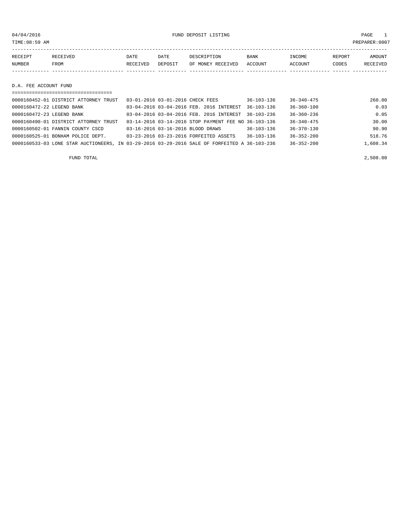04/04/2016 FUND DEPOSIT LISTING PAGE 1

| RECEIPT | RECEIVED | DATE     | DATE    | DESCRIPTION               | <b>BANK</b> | INCOME  | REPORT | <b>AMOUNT</b> |
|---------|----------|----------|---------|---------------------------|-------------|---------|--------|---------------|
| NUMBER  | FROM     | RECEIVED | DEPOSIT | OF MONEY RECEIVED ACCOUNT |             | ACCOUNT | CODES  | RECEIVED      |
|         |          |          |         |                           |             |         |        |               |
|         |          |          |         |                           |             |         |        |               |

### D.A. FEE ACCOUNT FUND

|                           | =====================================                                                        |                                  |                                                      |                  |                  |          |
|---------------------------|----------------------------------------------------------------------------------------------|----------------------------------|------------------------------------------------------|------------------|------------------|----------|
|                           | 0000160452-01 DISTRICT ATTORNEY TRUST                                                        | 03-01-2016 03-01-2016 CHECK FEES |                                                      | $36 - 103 - 136$ | $36 - 340 - 475$ | 260.00   |
| 0000160472-22 LEGEND BANK |                                                                                              |                                  | 03-04-2016 03-04-2016 FEB. 2016 INTEREST             | $36 - 103 - 136$ | $36 - 360 - 100$ | 0.03     |
| 0000160472-23 LEGEND BANK |                                                                                              |                                  | 03-04-2016 03-04-2016 FEB. 2016 INTEREST 36-103-236  |                  | $36 - 360 - 236$ | 0.05     |
|                           | 0000160490-01 DISTRICT ATTORNEY TRUST                                                        |                                  | 03-14-2016 03-14-2016 STOP PAYMENT FEE NO 36-103-136 |                  | $36 - 340 - 475$ | 30.00    |
|                           | 0000160502-01 FANNIN COUNTY CSCD                                                             |                                  | 03-16-2016 03-16-2016 BLOOD DRAWS                    | $36 - 103 - 136$ | $36 - 370 - 130$ | 90.90    |
|                           | 0000160525-01 BONHAM POLICE DEPT.                                                            |                                  | 03-23-2016 03-23-2016 FORFEITED ASSETS               | $36 - 103 - 136$ | $36 - 352 - 200$ | 518.76   |
|                           | 0000160533-03 LONE STAR AUCTIONEERS, IN 03-29-2016 03-29-2016 SALE OF FORFEITED A 36-103-236 |                                  |                                                      |                  | $36 - 352 - 200$ | 1,608.34 |

FUND TOTAL 2,508.08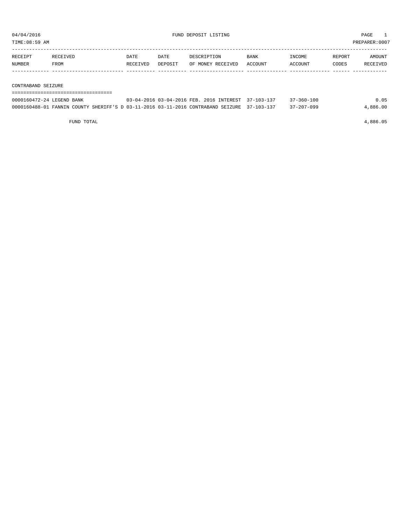TIME:08:59 AM PREPARER:0007

| RECEIPT | RECEIVED | DATE     | DATE    | DESCRIPTION       | BANK    | INCOME  | REPORT | AMOUNT   |
|---------|----------|----------|---------|-------------------|---------|---------|--------|----------|
| NUMBER  | FROM     | RECEIVED | DEPOSIT | OF MONEY RECEIVED | ACCOUNT | ACCOUNT | CODES  | RECEIVED |
|         |          |          |         |                   |         |         |        |          |
|         |          |          |         |                   |         |         |        |          |

CONTRABAND SEIZURE

| -------------------------------------<br>-------------------------------------- |  |  |  |  |  |  |  |  |  |  |  |  |  |  |  |  |  |
|---------------------------------------------------------------------------------|--|--|--|--|--|--|--|--|--|--|--|--|--|--|--|--|--|
|                                                                                 |  |  |  |  |  |  |  |  |  |  |  |  |  |  |  |  |  |

| 0000160472-24 LEGEND BANK                                                                   |  | 03-04-2016 03-04-2016 FEB. 2016 INTEREST 37-103-137 | $37 - 360 - 100$ | 0.05     |
|---------------------------------------------------------------------------------------------|--|-----------------------------------------------------|------------------|----------|
| 0000160488-01 FANNIN COUNTY SHERIFF'S D 03-11-2016 03-11-2016 CONTRABAND SEIZURE 37-103-137 |  |                                                     | $37 - 207 - 099$ | 4,886.00 |

FUND TOTAL 4,886.05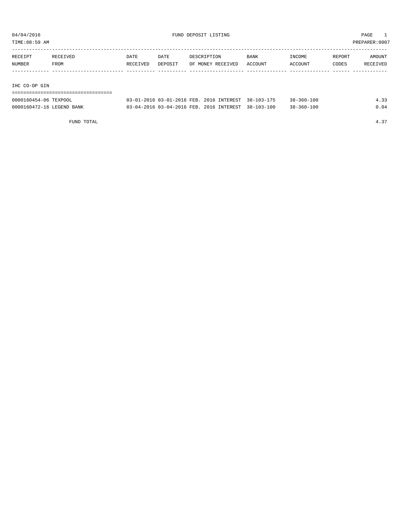TIME:08:59 AM PREPARER:0007

| RECEIPT | RECEIVED | DATE     | DATE    | DESCRIPTION       | BANK    | INCOME  | REPORT | AMOUNT   |
|---------|----------|----------|---------|-------------------|---------|---------|--------|----------|
| NUMBER  | FROM     | RECEIVED | DEPOSIT | OF MONEY RECEIVED | ACCOUNT | ACCOUNT | CODES  | RECEIVED |
|         |          |          |         |                   |         |         |        |          |
|         |          |          |         |                   |         |         |        |          |
|         |          |          |         |                   |         |         |        |          |

IHC CO-OP GIN

| -------------------------------------<br>-------------------------------------- |  |  |  |  |  |  |  |  |  |  |  |  |  |  |  |  |  |
|---------------------------------------------------------------------------------|--|--|--|--|--|--|--|--|--|--|--|--|--|--|--|--|--|

| 0000160454-06 TEXPOOL     |  | 03-01-2016 03-01-2016 FEB. 2016 INTEREST 38-103-175 | $38 - 360 - 100$ | ່າາ |
|---------------------------|--|-----------------------------------------------------|------------------|-----|
| 0000160472-16 LEGEND BANK |  | 03-04-2016 03-04-2016 FEB. 2016 INTEREST 38-103-100 | $38 - 360 - 100$ |     |

FUND TOTAL 4.37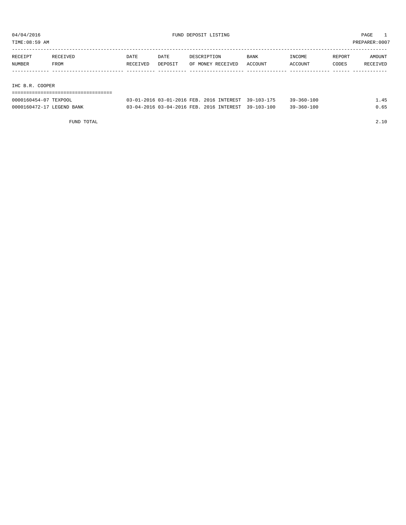TIME:08:59 AM PREPARER:0007

| RECEIPT         | RECEIVED | DATE     | DATE    | DESCRIPTION       | <b>BANK</b> | INCOME  | REPORT | AMOUNT   |  |  |  |  |  |
|-----------------|----------|----------|---------|-------------------|-------------|---------|--------|----------|--|--|--|--|--|
| NUMBER          | FROM     | RECEIVED | DEPOSIT | OF MONEY RECEIVED | ACCOUNT     | ACCOUNT | CODES  | RECEIVED |  |  |  |  |  |
|                 |          |          |         |                   |             |         |        |          |  |  |  |  |  |
|                 |          |          |         |                   |             |         |        |          |  |  |  |  |  |
| IHC B.R. COOPER |          |          |         |                   |             |         |        |          |  |  |  |  |  |
|                 |          |          |         |                   |             |         |        |          |  |  |  |  |  |

| 0000160454-07 TEXPOOL     | 03-01-2016 03-01-2016 FEB. 2016 INTEREST 39-103-175 |  | $39 - 360 - 100$ |     |
|---------------------------|-----------------------------------------------------|--|------------------|-----|
| 0000160472-17 LEGEND BANK | 03-04-2016 03-04-2016 FEB. 2016 INTEREST 39-103-100 |  | $39 - 360 - 100$ | .65 |

FUND TOTAL 2.10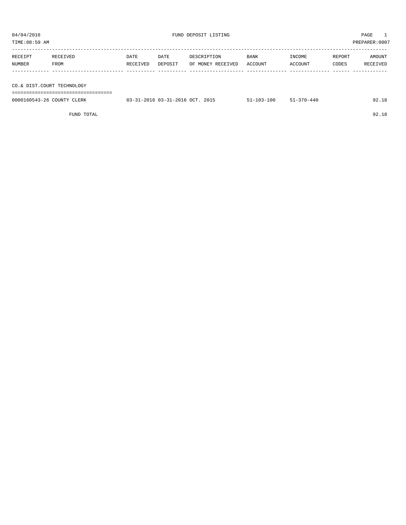| TIME:08:59 AM |                            |          |         |                   |         | PREPARER:0007 |        |          |
|---------------|----------------------------|----------|---------|-------------------|---------|---------------|--------|----------|
|               |                            |          |         |                   |         |               |        |          |
| RECEIPT       | RECEIVED                   | DATE     | DATE    | DESCRIPTION       | BANK    | INCOME        | REPORT | AMOUNT   |
| NUMBER        | FROM                       | RECEIVED | DEPOSIT | OF MONEY RECEIVED | ACCOUNT | ACCOUNT       | CODES  | RECEIVED |
|               |                            |          |         |                   |         |               |        |          |
|               |                            |          |         |                   |         |               |        |          |
|               | CO.& DIST.COURT TECHNOLOGY |          |         |                   |         |               |        |          |
|               |                            |          |         |                   |         |               |        |          |

| 0000160543-26 COUNTY CLERK | 03-31-2016 03-31-2016 OCT. 2015 | 51-103-100 51-370-440 | 92.18 |
|----------------------------|---------------------------------|-----------------------|-------|
|                            |                                 |                       |       |

FUND TOTAL 92.18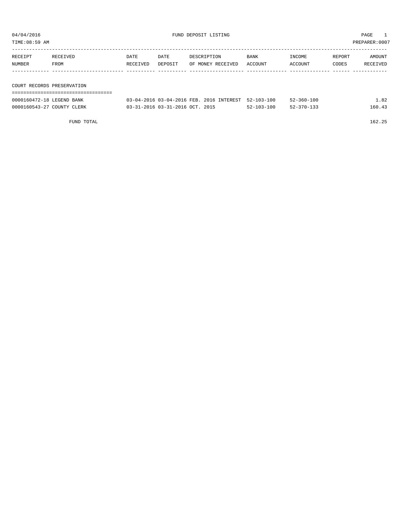| TIME:08:59 AM              |          |          |         |                   |         |         |        | PREPARER:0007 |
|----------------------------|----------|----------|---------|-------------------|---------|---------|--------|---------------|
| RECEIPT                    | RECEIVED | DATE     | DATE    | DESCRIPTION       | BANK    | INCOME  | REPORT | AMOUNT        |
| NUMBER                     | FROM     | RECEIVED | DEPOSIT | OF MONEY RECEIVED | ACCOUNT | ACCOUNT | CODES  | RECEIVED      |
|                            |          |          |         |                   |         |         |        |               |
| COURT RECORDS PRESERVATION |          |          |         |                   |         |         |        |               |
|                            |          |          |         |                   |         |         |        |               |

| 0000160472-18 LEGEND BANK  | 03-04-2016 03-04-2016 FEB. 2016 INTEREST 52-103-100 |                  | $52 - 360 - 100$ | 1.82   |
|----------------------------|-----------------------------------------------------|------------------|------------------|--------|
| 0000160543-27 COUNTY CLERK | 03-31-2016 03-31-2016 OCT. 2015                     | $52 - 103 - 100$ | $52 - 370 - 133$ | 160.43 |

FUND TOTAL 162.25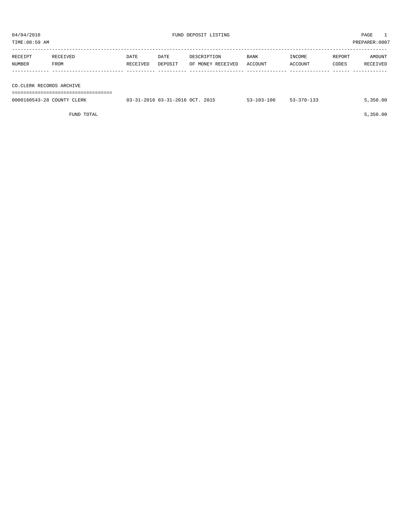| 04/04/2016<br>FUND DEPOSIT LISTING<br>TIME: 08:59 AM |                  |                  |                                        | PAGE<br>PREPARER: 0007           |                        |                   |                 |                    |
|------------------------------------------------------|------------------|------------------|----------------------------------------|----------------------------------|------------------------|-------------------|-----------------|--------------------|
| RECEIPT<br>NUMBER                                    | RECEIVED<br>FROM | DATE<br>RECEIVED | DATE<br>DEPOSIT                        | DESCRIPTION<br>OF MONEY RECEIVED | BANK<br><b>ACCOUNT</b> | INCOME<br>ACCOUNT | REPORT<br>CODES | AMOUNT<br>RECEIVED |
| CO. CLERK RECORDS ARCHIVE                            |                  |                  |                                        |                                  |                        |                   |                 |                    |
| 0000160543-28 COUNTY CLERK                           |                  |                  | $03-31-2016$ $03-31-2016$ $0CT$ . 2015 |                                  | $53 - 103 - 100$       | $53 - 370 - 133$  |                 | 5,350.00           |

 $FUND$  to the set of  $5,350.00$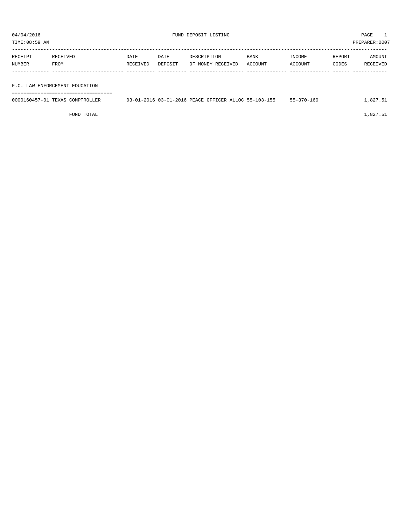TIME:08:59 AM PREPARER:0007

| RECEIPT | RECEIVED    | DATE     | DATE    | DESCRIPTION       | <b>BANK</b> | INCOME  | REPORT | AMOUNT   |
|---------|-------------|----------|---------|-------------------|-------------|---------|--------|----------|
| NUMBER  | <b>FROM</b> | RECEIVED | DEPOSIT | OF MONEY RECEIVED | ACCOUNT     | ACCOUNT | CODES  | RECEIVED |
|         |             |          |         |                   |             |         |        |          |
|         |             |          |         |                   |             |         |        |          |

F.C. LAW ENFORCEMENT EDUCATION

| ------------------------------------- |  |
|---------------------------------------|--|
| ------------------------------------- |  |
|                                       |  |
|                                       |  |
|                                       |  |
|                                       |  |

| 0000160457-01 TEXAS COMPTROLLER | 03-01-2016 03-01-2016 PEACE OFFICER ALLOC 55-103-155 | 55-370-160 | 1,827.51 |
|---------------------------------|------------------------------------------------------|------------|----------|
|                                 |                                                      |            |          |

FUND TOTAL  $1,827.51$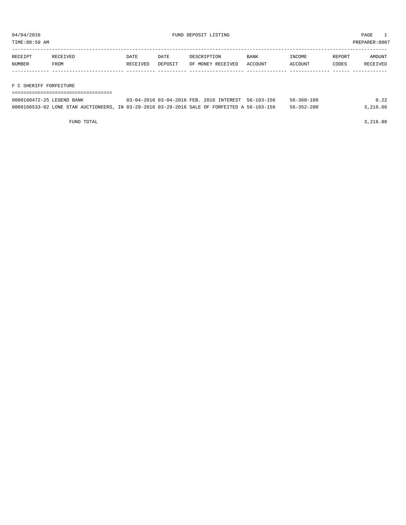TIME:08:59 AM PREPARER:0007

| RECEIPT | RECEIVED | DATE     | DATE    | DESCRIPTION       | <b>BANK</b> | INCOME  | REPORT | AMOUNT   |
|---------|----------|----------|---------|-------------------|-------------|---------|--------|----------|
| NUMBER  | FROM     | RECEIVED | DEPOSIT | OF MONEY RECEIVED | ACCOUNT     | ACCOUNT | CODES  | RECEIVED |
|         |          |          |         |                   |             |         |        |          |

F C SHERIFF FORFEITURE

| ----------------------------                                                                 |                                                     |                  |          |
|----------------------------------------------------------------------------------------------|-----------------------------------------------------|------------------|----------|
| 0000160472-25 LEGEND BANK                                                                    | 03-04-2016 03-04-2016 FEB. 2016 INTEREST 56-103-156 | $56 - 360 - 100$ | 0.22     |
| 0000160533-02 LONE STAR AUCTIONEERS, IN 03-29-2016 03-29-2016 SALE OF FORFEITED A 56-103-156 |                                                     | 56-352-200       | 3,216.66 |

FUND TOTAL 3,216.88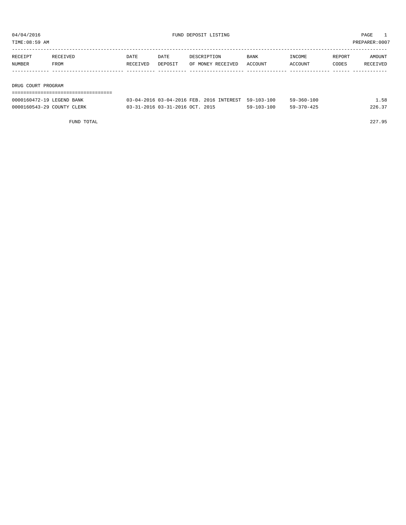| TIME:08:59 AM |                    |          |         |                   |             |         | PREPARER:0007 |          |
|---------------|--------------------|----------|---------|-------------------|-------------|---------|---------------|----------|
| RECEIPT       | RECEIVED           | DATE     | DATE    | DESCRIPTION       | <b>BANK</b> | INCOME  | REPORT        | AMOUNT   |
| NUMBER        | FROM               | RECEIVED | DEPOSIT | OF MONEY RECEIVED | ACCOUNT     | ACCOUNT | CODES         | RECEIVED |
|               |                    |          |         |                   |             |         |               |          |
|               |                    |          |         |                   |             |         |               |          |
|               | DRUG COURT PROGRAM |          |         |                   |             |         |               |          |
|               |                    |          |         |                   |             |         |               |          |

| 0000160472-19 LEGEND BANK  | 03-04-2016 03-04-2016 FEB. 2016 INTEREST 59-103-100 |                  | $59 - 360 - 100$ | . . 58 |
|----------------------------|-----------------------------------------------------|------------------|------------------|--------|
| 0000160543-29 COUNTY CLERK | 03-31-2016 03-31-2016 OCT. 2015                     | $59 - 103 - 100$ | $59 - 370 - 425$ | 226.37 |

FUND TOTAL 227.95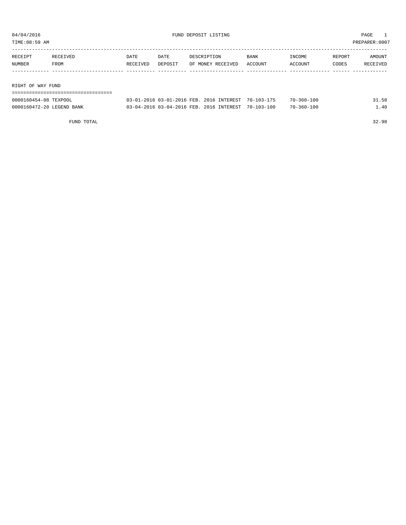TIME:08:59 AM PREPARER:0007

| RECEIPT           | RECEIVED | DATE     | DATE    | DESCRIPTION       | <b>BANK</b> | INCOME  | REPORT | AMOUNT   |
|-------------------|----------|----------|---------|-------------------|-------------|---------|--------|----------|
| NUMBER            | FROM     | RECEIVED | DEPOSIT | OF MONEY RECEIVED | ACCOUNT     | ACCOUNT | CODES  | RECEIVED |
|                   |          |          |         |                   |             |         |        |          |
|                   |          |          |         |                   |             |         |        |          |
| RIGHT OF WAY FUND |          |          |         |                   |             |         |        |          |
|                   |          |          |         |                   |             |         |        |          |

| 0000160454-08 TEXPOOL     | 03-01-2016 03-01-2016 FEB. 2016 INTEREST 70-103-175 |  | $70 - 360 - 100$ |  |
|---------------------------|-----------------------------------------------------|--|------------------|--|
| 0000160472-20 LEGEND BANK | 03-04-2016 03-04-2016 FEB. 2016 INTEREST 70-103-100 |  | $70 - 360 - 100$ |  |

FUND TOTAL 32.98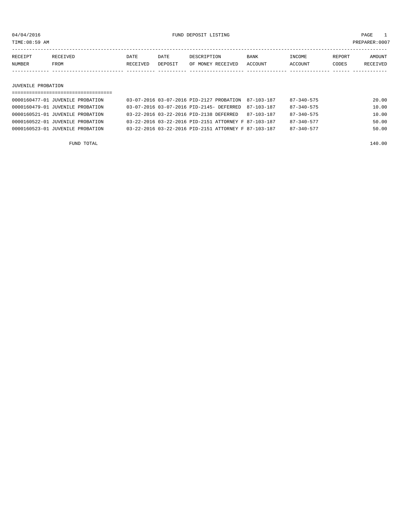TIME:08:59 AM PREPARER:0007

| RECEIPT | <b>RECEIVED</b> | DATE     | <b>DATE</b> | DESCRIPTION       | <b>BANK</b> | <b>INCOME</b>  | REPORT | AMOUNT          |
|---------|-----------------|----------|-------------|-------------------|-------------|----------------|--------|-----------------|
| NUMBER  | <b>FROM</b>     | RECEIVED | DEPOSIT     | OF MONEY RECEIVED | ACCOUNT     | <b>ACCOUNT</b> | CODES  | <b>RECEIVED</b> |
|         |                 |          |             |                   |             |                |        |                 |

### JUVENILE PROBATION

| 0000160477-01 JUVENILE PROBATION | 03-07-2016 03-07-2016 PID-2127 PROBATION 87-103-187  |  |            | 87-340-575       | 20.00 |
|----------------------------------|------------------------------------------------------|--|------------|------------------|-------|
| 0000160479-01 JUVENILE PROBATION | 03-07-2016 03-07-2016 PID-2145- DEFERRED             |  | 87-103-187 | $87 - 340 - 575$ | 10.00 |
| 0000160521-01 JUVENILE PROBATION | 03-22-2016 03-22-2016 PTD-2138 DEFERRED              |  | 87-103-187 | $87 - 340 - 575$ | 10.00 |
| 0000160522-01 JUVENILE PROBATION | 03-22-2016 03-22-2016 PID-2151 ATTORNEY F 87-103-187 |  |            | $87 - 340 - 577$ | 50.00 |
| 0000160523-01 JUVENILE PROBATION | 03-22-2016 03-22-2016 PID-2151 ATTORNEY F 87-103-187 |  |            | $87 - 340 - 577$ | 50.00 |
|                                  |                                                      |  |            |                  |       |

FUND TOTAL 140.00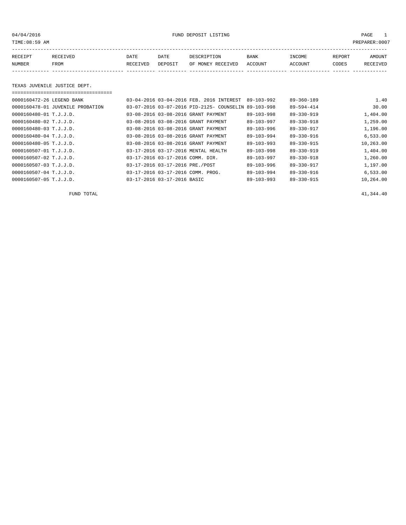04/04/2016 FUND DEPOSIT LISTING PAGE 1

| RECEIPT | <b>RECEIVED</b> | DATE            | DATE    | DESCRIPTION       | <b>BANK</b> | INCOME  | REPORT | AMOUNT          |
|---------|-----------------|-----------------|---------|-------------------|-------------|---------|--------|-----------------|
| NUMBER  | FROM            | <b>RECEIVED</b> | DEPOSIT | OF MONEY RECEIVED | ACCOUNT     | ACCOUNT | CODES  | <b>RECEIVED</b> |
|         |                 |                 |         |                   |             |         |        |                 |

TEXAS JUVENILE JUSTICE DEPT.

===================================

|  |                             |                                                                                                                                                                                                                                                                                                                                                                                                                                             |                                                                                                                                                                                                                            | 1.40                                                                                                                                                                                         |
|--|-----------------------------|---------------------------------------------------------------------------------------------------------------------------------------------------------------------------------------------------------------------------------------------------------------------------------------------------------------------------------------------------------------------------------------------------------------------------------------------|----------------------------------------------------------------------------------------------------------------------------------------------------------------------------------------------------------------------------|----------------------------------------------------------------------------------------------------------------------------------------------------------------------------------------------|
|  |                             |                                                                                                                                                                                                                                                                                                                                                                                                                                             |                                                                                                                                                                                                                            | 30.00                                                                                                                                                                                        |
|  |                             |                                                                                                                                                                                                                                                                                                                                                                                                                                             |                                                                                                                                                                                                                            | 1,404.00                                                                                                                                                                                     |
|  |                             |                                                                                                                                                                                                                                                                                                                                                                                                                                             |                                                                                                                                                                                                                            | 1,259.00                                                                                                                                                                                     |
|  |                             |                                                                                                                                                                                                                                                                                                                                                                                                                                             |                                                                                                                                                                                                                            | 1,196.00                                                                                                                                                                                     |
|  |                             |                                                                                                                                                                                                                                                                                                                                                                                                                                             |                                                                                                                                                                                                                            | 6.533.00                                                                                                                                                                                     |
|  |                             |                                                                                                                                                                                                                                                                                                                                                                                                                                             |                                                                                                                                                                                                                            | 10,263.00                                                                                                                                                                                    |
|  |                             |                                                                                                                                                                                                                                                                                                                                                                                                                                             |                                                                                                                                                                                                                            | 1,404.00                                                                                                                                                                                     |
|  |                             |                                                                                                                                                                                                                                                                                                                                                                                                                                             |                                                                                                                                                                                                                            | 1,260.00                                                                                                                                                                                     |
|  |                             |                                                                                                                                                                                                                                                                                                                                                                                                                                             |                                                                                                                                                                                                                            | 1,197.00                                                                                                                                                                                     |
|  |                             |                                                                                                                                                                                                                                                                                                                                                                                                                                             |                                                                                                                                                                                                                            | 6,533.00                                                                                                                                                                                     |
|  |                             |                                                                                                                                                                                                                                                                                                                                                                                                                                             |                                                                                                                                                                                                                            | 10,264.00                                                                                                                                                                                    |
|  | 03-17-2016 03-17-2016 BASIC | 03-04-2016 03-04-2016 FEB. 2016 INTEREST<br>03-07-2016 03-07-2016 PID-2125- COUNSELIN<br>03-08-2016 03-08-2016 GRANT PAYMENT<br>03-08-2016 03-08-2016 GRANT PAYMENT<br>03-08-2016 03-08-2016 GRANT PAYMENT<br>03-08-2016 03-08-2016 GRANT PAYMENT<br>03-08-2016 03-08-2016 GRANT PAYMENT<br>03-17-2016 03-17-2016 MENTAL HEALTH<br>03-17-2016 03-17-2016 COMM. DIR.<br>03-17-2016 03-17-2016 PRE./POST<br>03-17-2016 03-17-2016 COMM. PROG. | $89 - 103 - 992$<br>89-103-998<br>$89 - 103 - 998$<br>$89 - 103 - 997$<br>$89 - 103 - 996$<br>89-103-994<br>$89 - 103 - 993$<br>$89 - 103 - 998$<br>$89 - 103 - 997$<br>89-103-996<br>$89 - 103 - 994$<br>$89 - 103 - 993$ | 89-360-189<br>89-594-414<br>$89 - 330 - 919$<br>$89 - 330 - 918$<br>89-330-917<br>89-330-916<br>89-330-915<br>$89 - 330 - 919$<br>$89 - 330 - 918$<br>89-330-917<br>89-330-916<br>89-330-915 |

FUND TOTAL  $41,344.40$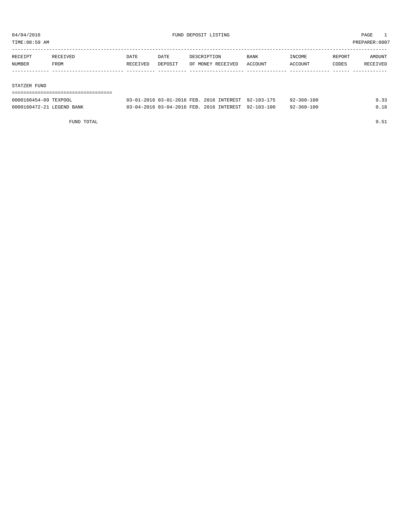TIME:08:59 AM PREPARER:0007

| RECEIPT | RECEIVED | DATE     | DATE    | DESCRIPTION       | <b>BANK</b> | INCOME  | REPORT | AMOUNT   |
|---------|----------|----------|---------|-------------------|-------------|---------|--------|----------|
| NUMBER  | FROM     | RECEIVED | DEPOSIT | OF MONEY RECEIVED | ACCOUNT     | ACCOUNT | CODES  | RECEIVED |
|         |          |          |         |                   |             |         |        |          |
|         |          |          |         |                   |             |         |        |          |

#### STATZER FUND

| 0000160454-09 TEXPOOL     | 03-01-2016 03-01-2016 FEB. 2016 INTEREST 92-103-175 |  | 92-360-100       |      |
|---------------------------|-----------------------------------------------------|--|------------------|------|
| 0000160472-21 LEGEND BANK | 03-04-2016 03-04-2016 FEB. 2016 INTEREST 92-103-100 |  | $92 - 360 - 100$ | 0.18 |

FUND TOTAL 9.51